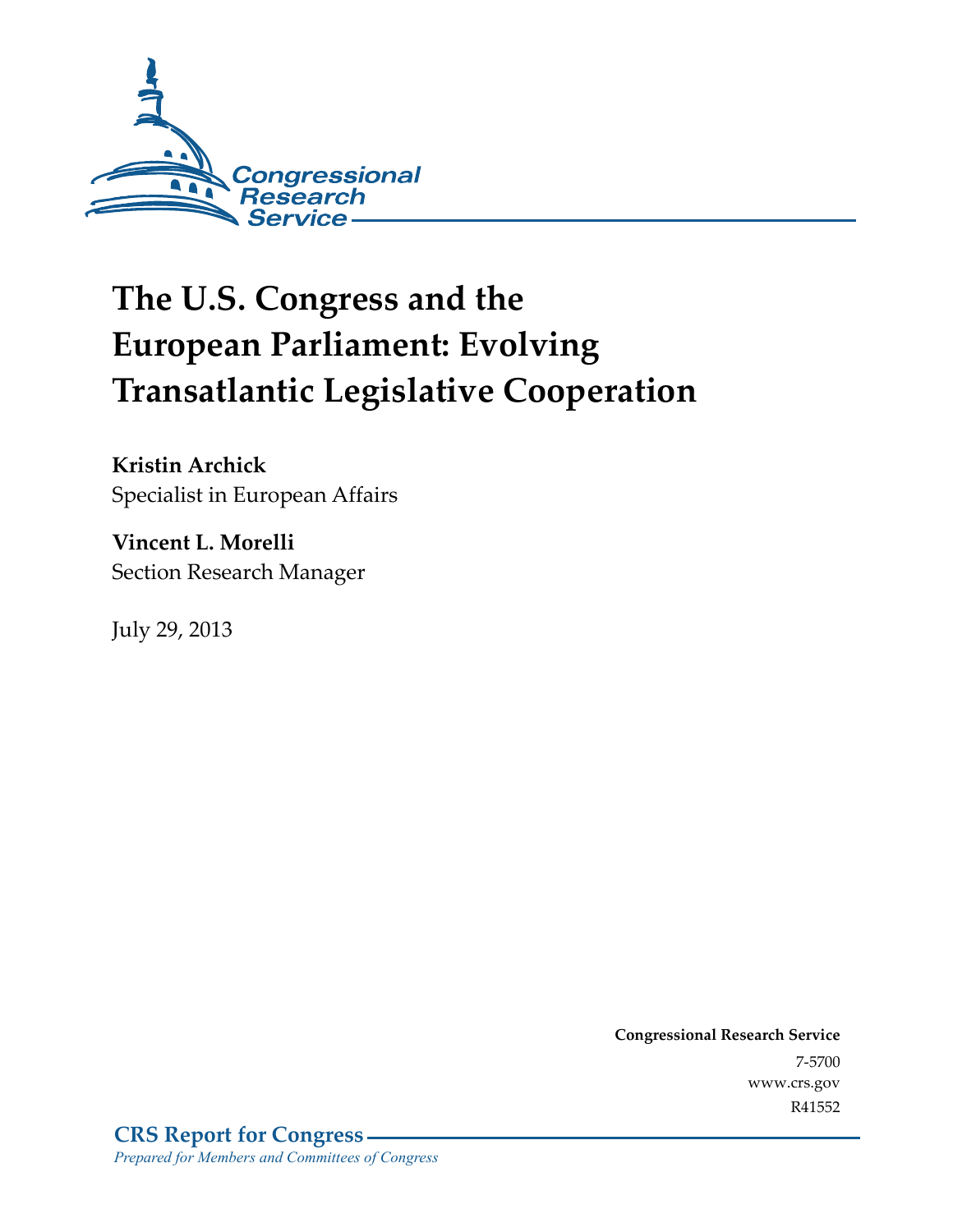

# **The U.S. Congress and the European Parliament: Evolving Transatlantic Legislative Cooperation**

**Kristin Archick**  Specialist in European Affairs

**Vincent L. Morelli**  Section Research Manager

July 29, 2013

**Congressional Research Service**  7-5700 www.crs.gov R41552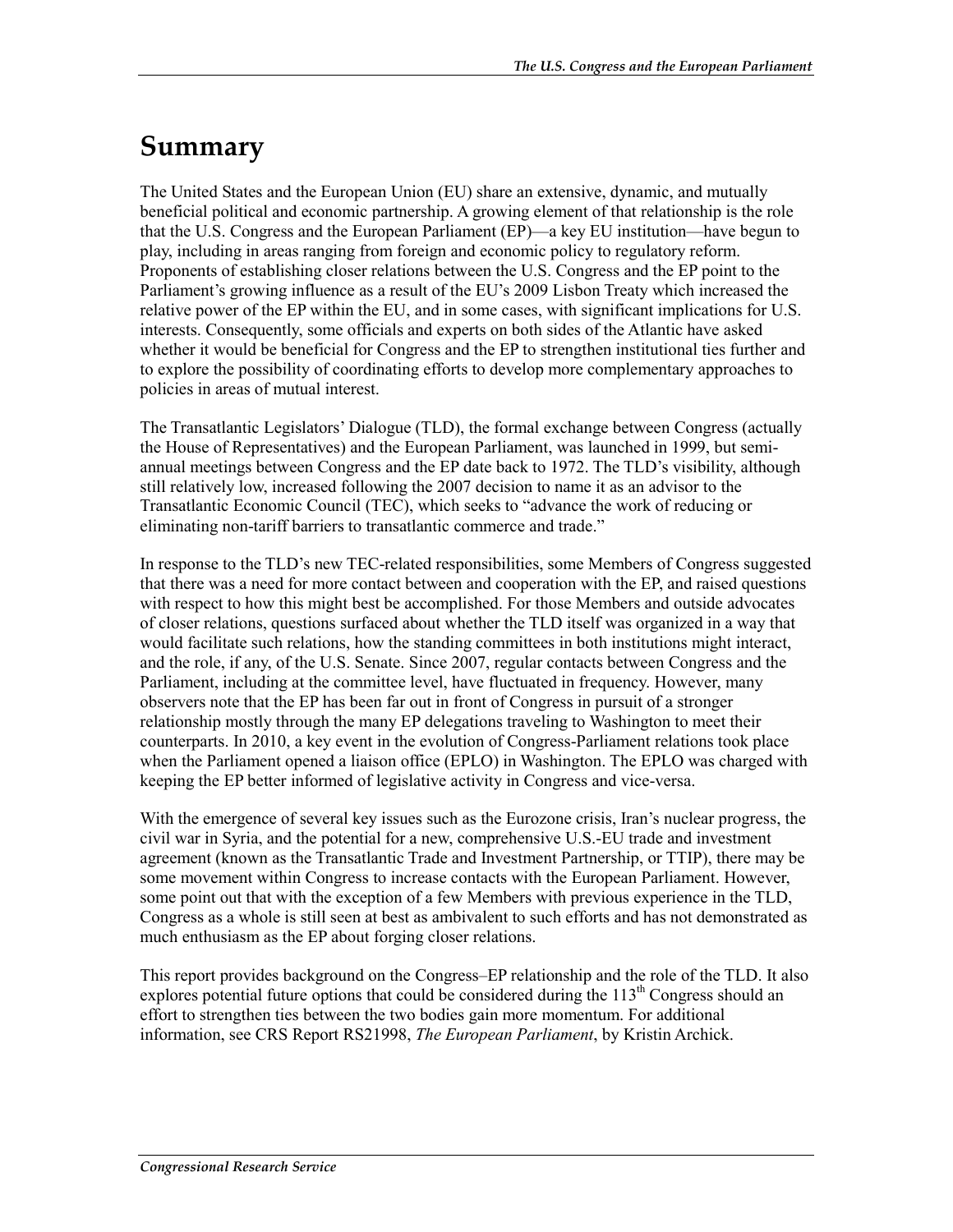### **Summary**

The United States and the European Union (EU) share an extensive, dynamic, and mutually beneficial political and economic partnership. A growing element of that relationship is the role that the U.S. Congress and the European Parliament (EP)—a key EU institution—have begun to play, including in areas ranging from foreign and economic policy to regulatory reform. Proponents of establishing closer relations between the U.S. Congress and the EP point to the Parliament's growing influence as a result of the EU's 2009 Lisbon Treaty which increased the relative power of the EP within the EU, and in some cases, with significant implications for U.S. interests. Consequently, some officials and experts on both sides of the Atlantic have asked whether it would be beneficial for Congress and the EP to strengthen institutional ties further and to explore the possibility of coordinating efforts to develop more complementary approaches to policies in areas of mutual interest.

The Transatlantic Legislators' Dialogue (TLD), the formal exchange between Congress (actually the House of Representatives) and the European Parliament, was launched in 1999, but semiannual meetings between Congress and the EP date back to 1972. The TLD's visibility, although still relatively low, increased following the 2007 decision to name it as an advisor to the Transatlantic Economic Council (TEC), which seeks to "advance the work of reducing or eliminating non-tariff barriers to transatlantic commerce and trade."

In response to the TLD's new TEC-related responsibilities, some Members of Congress suggested that there was a need for more contact between and cooperation with the EP, and raised questions with respect to how this might best be accomplished. For those Members and outside advocates of closer relations, questions surfaced about whether the TLD itself was organized in a way that would facilitate such relations, how the standing committees in both institutions might interact, and the role, if any, of the U.S. Senate. Since 2007, regular contacts between Congress and the Parliament, including at the committee level, have fluctuated in frequency. However, many observers note that the EP has been far out in front of Congress in pursuit of a stronger relationship mostly through the many EP delegations traveling to Washington to meet their counterparts. In 2010, a key event in the evolution of Congress-Parliament relations took place when the Parliament opened a liaison office (EPLO) in Washington. The EPLO was charged with keeping the EP better informed of legislative activity in Congress and vice-versa.

With the emergence of several key issues such as the Eurozone crisis, Iran's nuclear progress, the civil war in Syria, and the potential for a new, comprehensive U.S.-EU trade and investment agreement (known as the Transatlantic Trade and Investment Partnership, or TTIP), there may be some movement within Congress to increase contacts with the European Parliament. However, some point out that with the exception of a few Members with previous experience in the TLD, Congress as a whole is still seen at best as ambivalent to such efforts and has not demonstrated as much enthusiasm as the EP about forging closer relations.

This report provides background on the Congress–EP relationship and the role of the TLD. It also explores potential future options that could be considered during the  $113<sup>th</sup>$  Congress should an effort to strengthen ties between the two bodies gain more momentum. For additional information, see CRS Report RS21998, *The European Parliament*, by Kristin Archick.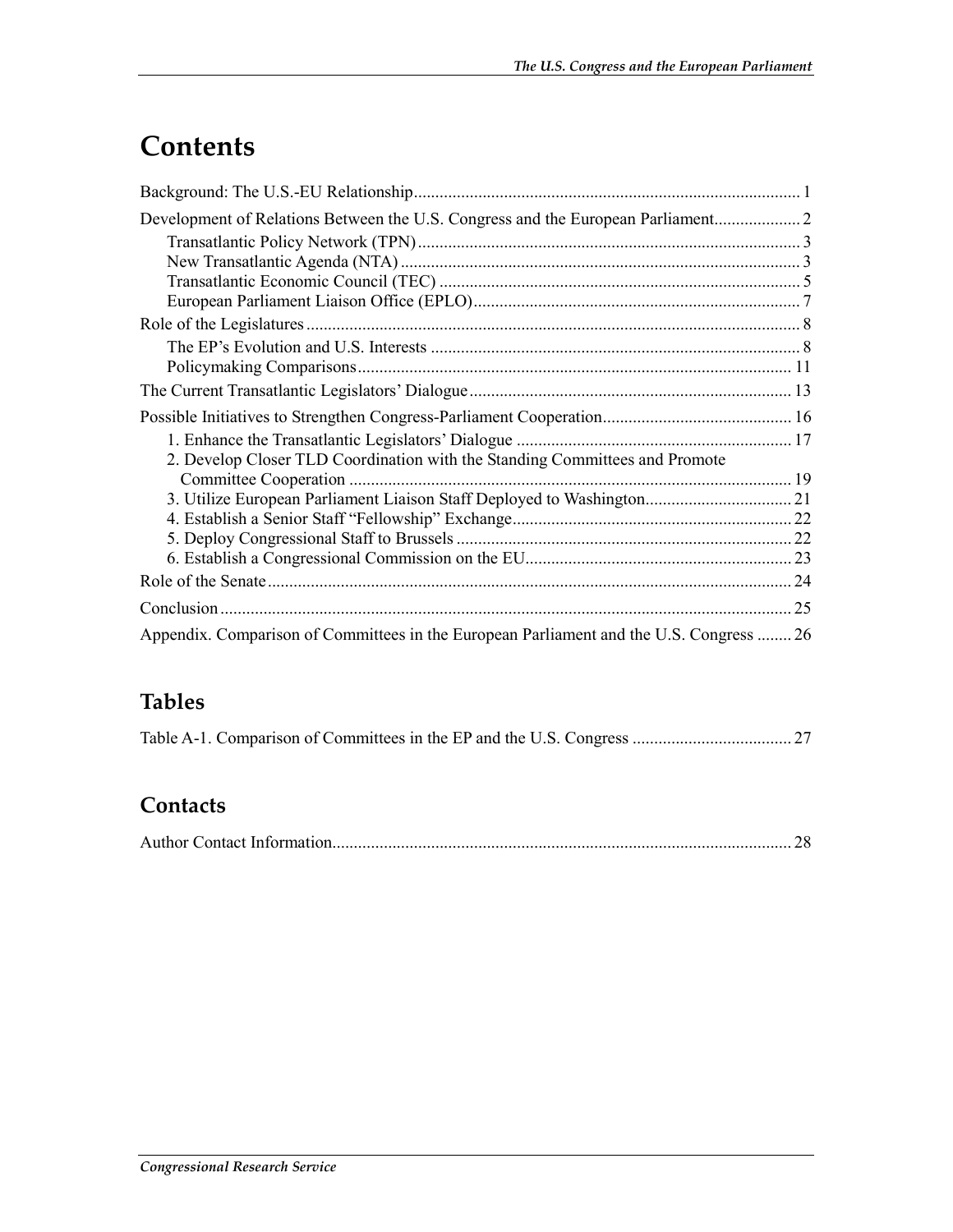## **Contents**

| 2. Develop Closer TLD Coordination with the Standing Committees and Promote             |  |
|-----------------------------------------------------------------------------------------|--|
|                                                                                         |  |
| 3. Utilize European Parliament Liaison Staff Deployed to Washington 21                  |  |
|                                                                                         |  |
|                                                                                         |  |
|                                                                                         |  |
|                                                                                         |  |
|                                                                                         |  |
| Appendix. Comparison of Committees in the European Parliament and the U.S. Congress  26 |  |

#### **Tables**

|--|--|--|

#### **Contacts**

|--|--|--|--|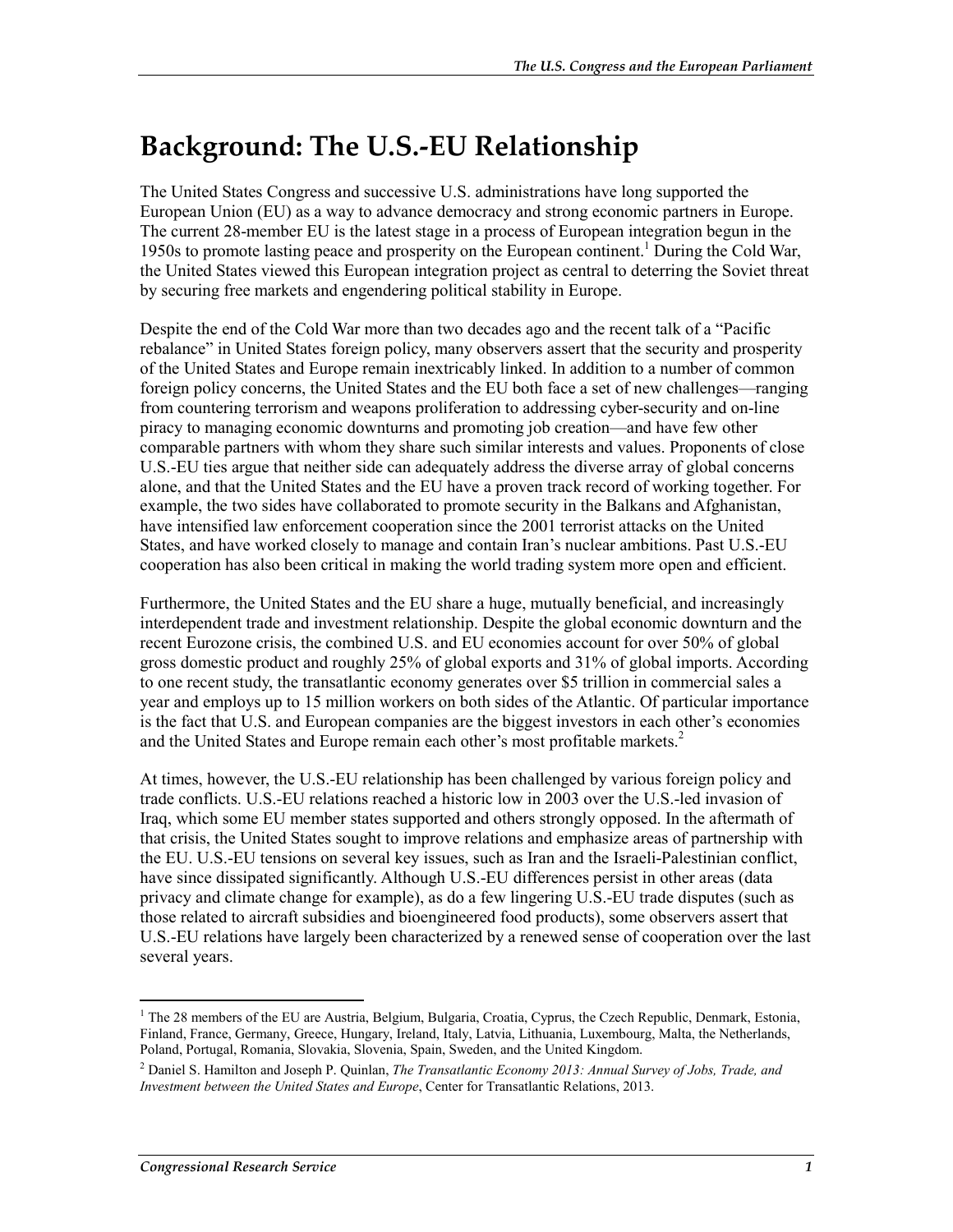### **Background: The U.S.-EU Relationship**

The United States Congress and successive U.S. administrations have long supported the European Union (EU) as a way to advance democracy and strong economic partners in Europe. The current 28-member EU is the latest stage in a process of European integration begun in the 1950s to promote lasting peace and prosperity on the European continent.<sup>1</sup> During the Cold War, the United States viewed this European integration project as central to deterring the Soviet threat by securing free markets and engendering political stability in Europe.

Despite the end of the Cold War more than two decades ago and the recent talk of a "Pacific rebalance" in United States foreign policy, many observers assert that the security and prosperity of the United States and Europe remain inextricably linked. In addition to a number of common foreign policy concerns, the United States and the EU both face a set of new challenges—ranging from countering terrorism and weapons proliferation to addressing cyber-security and on-line piracy to managing economic downturns and promoting job creation—and have few other comparable partners with whom they share such similar interests and values. Proponents of close U.S.-EU ties argue that neither side can adequately address the diverse array of global concerns alone, and that the United States and the EU have a proven track record of working together. For example, the two sides have collaborated to promote security in the Balkans and Afghanistan, have intensified law enforcement cooperation since the 2001 terrorist attacks on the United States, and have worked closely to manage and contain Iran's nuclear ambitions. Past U.S.-EU cooperation has also been critical in making the world trading system more open and efficient.

Furthermore, the United States and the EU share a huge, mutually beneficial, and increasingly interdependent trade and investment relationship. Despite the global economic downturn and the recent Eurozone crisis, the combined U.S. and EU economies account for over 50% of global gross domestic product and roughly 25% of global exports and 31% of global imports. According to one recent study, the transatlantic economy generates over \$5 trillion in commercial sales a year and employs up to 15 million workers on both sides of the Atlantic. Of particular importance is the fact that U.S. and European companies are the biggest investors in each other's economies and the United States and Europe remain each other's most profitable markets.<sup>2</sup>

At times, however, the U.S.-EU relationship has been challenged by various foreign policy and trade conflicts. U.S.-EU relations reached a historic low in 2003 over the U.S.-led invasion of Iraq, which some EU member states supported and others strongly opposed. In the aftermath of that crisis, the United States sought to improve relations and emphasize areas of partnership with the EU. U.S.-EU tensions on several key issues, such as Iran and the Israeli-Palestinian conflict, have since dissipated significantly. Although U.S.-EU differences persist in other areas (data privacy and climate change for example), as do a few lingering U.S.-EU trade disputes (such as those related to aircraft subsidies and bioengineered food products), some observers assert that U.S.-EU relations have largely been characterized by a renewed sense of cooperation over the last several years.

<sup>1</sup> <sup>1</sup> The 28 members of the EU are Austria, Belgium, Bulgaria, Croatia, Cyprus, the Czech Republic, Denmark, Estonia, Finland, France, Germany, Greece, Hungary, Ireland, Italy, Latvia, Lithuania, Luxembourg, Malta, the Netherlands, Poland, Portugal, Romania, Slovakia, Slovenia, Spain, Sweden, and the United Kingdom.

<sup>2</sup> Daniel S. Hamilton and Joseph P. Quinlan, *The Transatlantic Economy 2013: Annual Survey of Jobs, Trade, and Investment between the United States and Europe*, Center for Transatlantic Relations, 2013.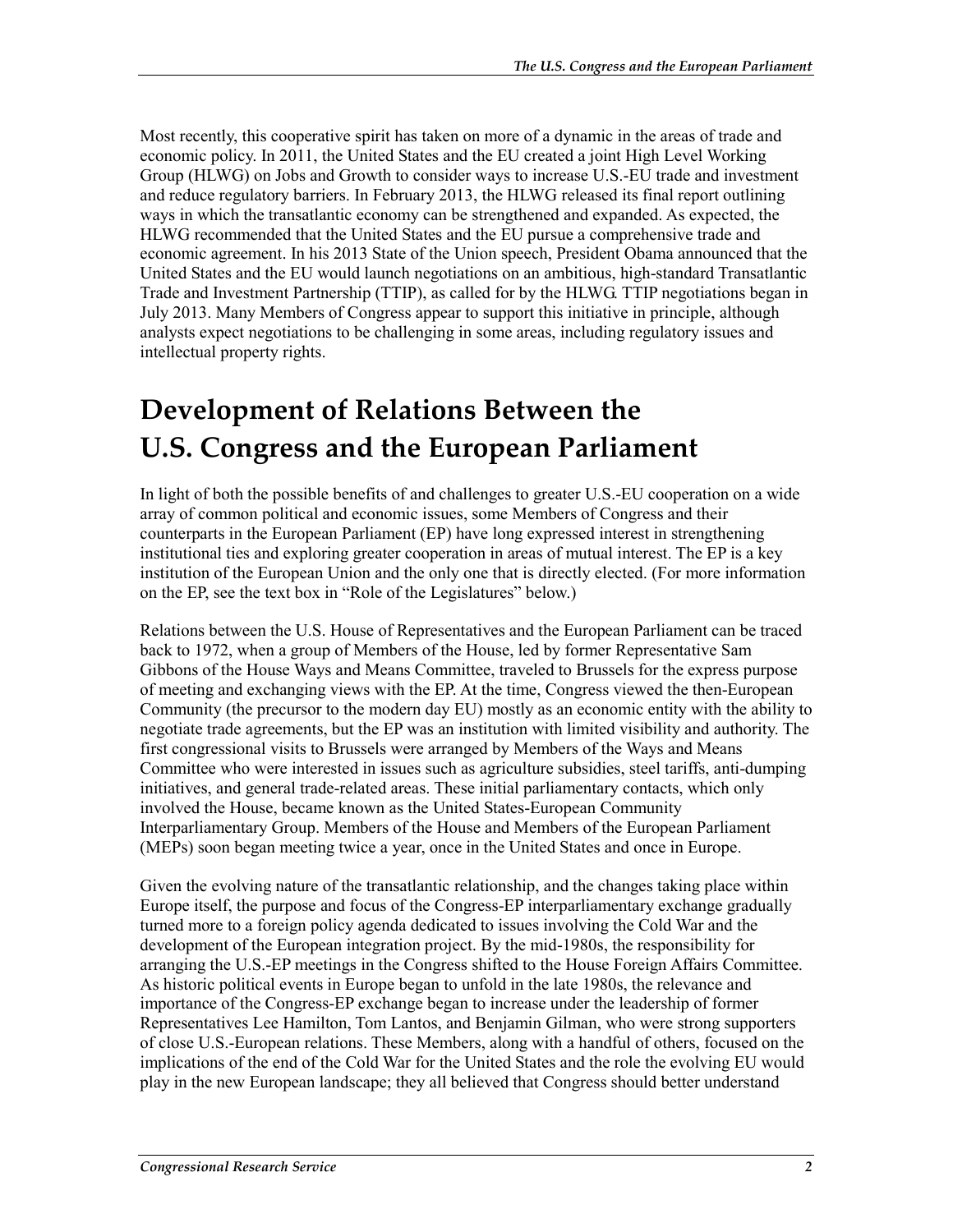Most recently, this cooperative spirit has taken on more of a dynamic in the areas of trade and economic policy. In 2011, the United States and the EU created a joint High Level Working Group (HLWG) on Jobs and Growth to consider ways to increase U.S.-EU trade and investment and reduce regulatory barriers. In February 2013, the HLWG released its final report outlining ways in which the transatlantic economy can be strengthened and expanded. As expected, the HLWG recommended that the United States and the EU pursue a comprehensive trade and economic agreement. In his 2013 State of the Union speech, President Obama announced that the United States and the EU would launch negotiations on an ambitious, high-standard Transatlantic Trade and Investment Partnership (TTIP), as called for by the HLWG. TTIP negotiations began in July 2013. Many Members of Congress appear to support this initiative in principle, although analysts expect negotiations to be challenging in some areas, including regulatory issues and intellectual property rights.

### **Development of Relations Between the U.S. Congress and the European Parliament**

In light of both the possible benefits of and challenges to greater U.S.-EU cooperation on a wide array of common political and economic issues, some Members of Congress and their counterparts in the European Parliament (EP) have long expressed interest in strengthening institutional ties and exploring greater cooperation in areas of mutual interest. The EP is a key institution of the European Union and the only one that is directly elected. (For more information on the EP, see the text box in "Role of the Legislatures" below.)

Relations between the U.S. House of Representatives and the European Parliament can be traced back to 1972, when a group of Members of the House, led by former Representative Sam Gibbons of the House Ways and Means Committee, traveled to Brussels for the express purpose of meeting and exchanging views with the EP. At the time, Congress viewed the then-European Community (the precursor to the modern day EU) mostly as an economic entity with the ability to negotiate trade agreements, but the EP was an institution with limited visibility and authority. The first congressional visits to Brussels were arranged by Members of the Ways and Means Committee who were interested in issues such as agriculture subsidies, steel tariffs, anti-dumping initiatives, and general trade-related areas. These initial parliamentary contacts, which only involved the House, became known as the United States-European Community Interparliamentary Group. Members of the House and Members of the European Parliament (MEPs) soon began meeting twice a year, once in the United States and once in Europe.

Given the evolving nature of the transatlantic relationship, and the changes taking place within Europe itself, the purpose and focus of the Congress-EP interparliamentary exchange gradually turned more to a foreign policy agenda dedicated to issues involving the Cold War and the development of the European integration project. By the mid-1980s, the responsibility for arranging the U.S.-EP meetings in the Congress shifted to the House Foreign Affairs Committee. As historic political events in Europe began to unfold in the late 1980s, the relevance and importance of the Congress-EP exchange began to increase under the leadership of former Representatives Lee Hamilton, Tom Lantos, and Benjamin Gilman, who were strong supporters of close U.S.-European relations. These Members, along with a handful of others, focused on the implications of the end of the Cold War for the United States and the role the evolving EU would play in the new European landscape; they all believed that Congress should better understand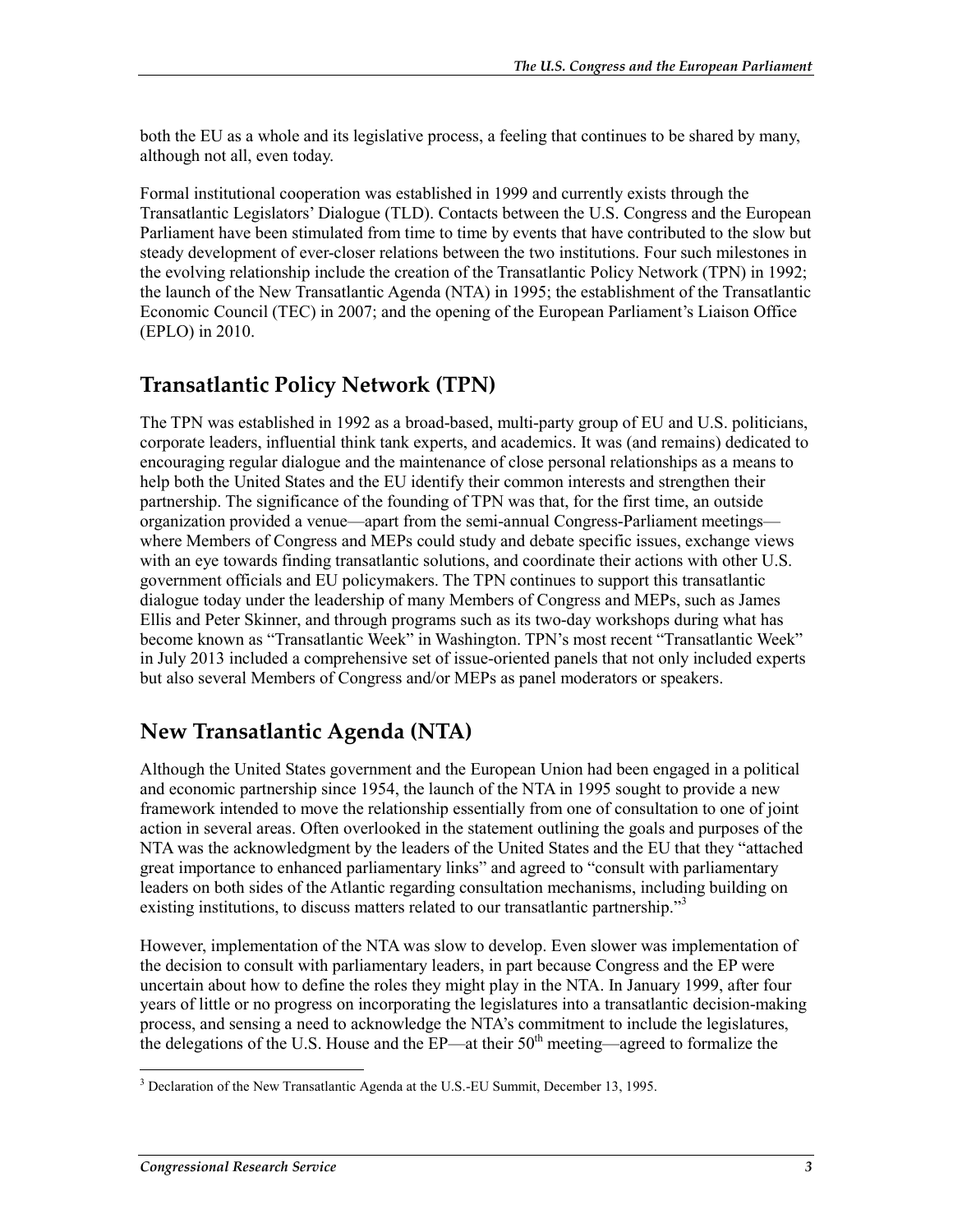both the EU as a whole and its legislative process, a feeling that continues to be shared by many, although not all, even today.

Formal institutional cooperation was established in 1999 and currently exists through the Transatlantic Legislators' Dialogue (TLD). Contacts between the U.S. Congress and the European Parliament have been stimulated from time to time by events that have contributed to the slow but steady development of ever-closer relations between the two institutions. Four such milestones in the evolving relationship include the creation of the Transatlantic Policy Network (TPN) in 1992; the launch of the New Transatlantic Agenda (NTA) in 1995; the establishment of the Transatlantic Economic Council (TEC) in 2007; and the opening of the European Parliament's Liaison Office (EPLO) in 2010.

#### **Transatlantic Policy Network (TPN)**

The TPN was established in 1992 as a broad-based, multi-party group of EU and U.S. politicians, corporate leaders, influential think tank experts, and academics. It was (and remains) dedicated to encouraging regular dialogue and the maintenance of close personal relationships as a means to help both the United States and the EU identify their common interests and strengthen their partnership. The significance of the founding of TPN was that, for the first time, an outside organization provided a venue—apart from the semi-annual Congress-Parliament meetings where Members of Congress and MEPs could study and debate specific issues, exchange views with an eye towards finding transatlantic solutions, and coordinate their actions with other U.S. government officials and EU policymakers. The TPN continues to support this transatlantic dialogue today under the leadership of many Members of Congress and MEPs, such as James Ellis and Peter Skinner, and through programs such as its two-day workshops during what has become known as "Transatlantic Week" in Washington. TPN's most recent "Transatlantic Week" in July 2013 included a comprehensive set of issue-oriented panels that not only included experts but also several Members of Congress and/or MEPs as panel moderators or speakers.

#### **New Transatlantic Agenda (NTA)**

Although the United States government and the European Union had been engaged in a political and economic partnership since 1954, the launch of the NTA in 1995 sought to provide a new framework intended to move the relationship essentially from one of consultation to one of joint action in several areas. Often overlooked in the statement outlining the goals and purposes of the NTA was the acknowledgment by the leaders of the United States and the EU that they "attached great importance to enhanced parliamentary links" and agreed to "consult with parliamentary leaders on both sides of the Atlantic regarding consultation mechanisms, including building on existing institutions, to discuss matters related to our transatlantic partnership."<sup>3</sup>

However, implementation of the NTA was slow to develop. Even slower was implementation of the decision to consult with parliamentary leaders, in part because Congress and the EP were uncertain about how to define the roles they might play in the NTA. In January 1999, after four years of little or no progress on incorporating the legislatures into a transatlantic decision-making process, and sensing a need to acknowledge the NTA's commitment to include the legislatures, the delegations of the U.S. House and the EP—at their  $50<sup>th</sup>$  meeting—agreed to formalize the

<sup>&</sup>lt;u>.</u> <sup>3</sup> Declaration of the New Transatlantic Agenda at the U.S.-EU Summit, December 13, 1995.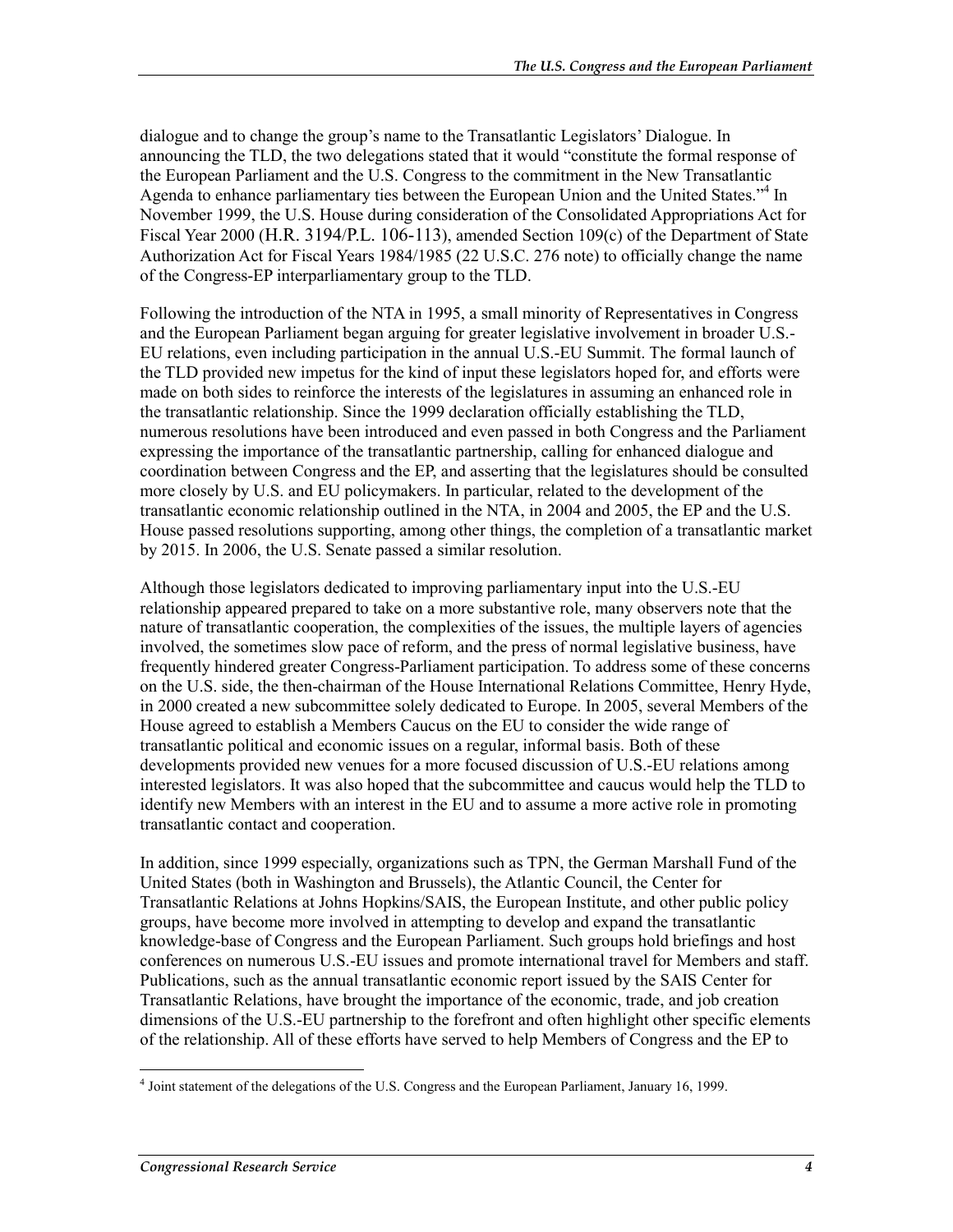dialogue and to change the group's name to the Transatlantic Legislators' Dialogue. In announcing the TLD, the two delegations stated that it would "constitute the formal response of the European Parliament and the U.S. Congress to the commitment in the New Transatlantic Agenda to enhance parliamentary ties between the European Union and the United States."<sup>4</sup> In November 1999, the U.S. House during consideration of the Consolidated Appropriations Act for Fiscal Year 2000 (H.R. 3194/P.L. 106-113), amended Section 109(c) of the Department of State Authorization Act for Fiscal Years 1984/1985 (22 U.S.C. 276 note) to officially change the name of the Congress-EP interparliamentary group to the TLD.

Following the introduction of the NTA in 1995, a small minority of Representatives in Congress and the European Parliament began arguing for greater legislative involvement in broader U.S.- EU relations, even including participation in the annual U.S.-EU Summit. The formal launch of the TLD provided new impetus for the kind of input these legislators hoped for, and efforts were made on both sides to reinforce the interests of the legislatures in assuming an enhanced role in the transatlantic relationship. Since the 1999 declaration officially establishing the TLD, numerous resolutions have been introduced and even passed in both Congress and the Parliament expressing the importance of the transatlantic partnership, calling for enhanced dialogue and coordination between Congress and the EP, and asserting that the legislatures should be consulted more closely by U.S. and EU policymakers. In particular, related to the development of the transatlantic economic relationship outlined in the NTA, in 2004 and 2005, the EP and the U.S. House passed resolutions supporting, among other things, the completion of a transatlantic market by 2015. In 2006, the U.S. Senate passed a similar resolution.

Although those legislators dedicated to improving parliamentary input into the U.S.-EU relationship appeared prepared to take on a more substantive role, many observers note that the nature of transatlantic cooperation, the complexities of the issues, the multiple layers of agencies involved, the sometimes slow pace of reform, and the press of normal legislative business, have frequently hindered greater Congress-Parliament participation. To address some of these concerns on the U.S. side, the then-chairman of the House International Relations Committee, Henry Hyde, in 2000 created a new subcommittee solely dedicated to Europe. In 2005, several Members of the House agreed to establish a Members Caucus on the EU to consider the wide range of transatlantic political and economic issues on a regular, informal basis. Both of these developments provided new venues for a more focused discussion of U.S.-EU relations among interested legislators. It was also hoped that the subcommittee and caucus would help the TLD to identify new Members with an interest in the EU and to assume a more active role in promoting transatlantic contact and cooperation.

In addition, since 1999 especially, organizations such as TPN, the German Marshall Fund of the United States (both in Washington and Brussels), the Atlantic Council, the Center for Transatlantic Relations at Johns Hopkins/SAIS, the European Institute, and other public policy groups, have become more involved in attempting to develop and expand the transatlantic knowledge-base of Congress and the European Parliament. Such groups hold briefings and host conferences on numerous U.S.-EU issues and promote international travel for Members and staff. Publications, such as the annual transatlantic economic report issued by the SAIS Center for Transatlantic Relations, have brought the importance of the economic, trade, and job creation dimensions of the U.S.-EU partnership to the forefront and often highlight other specific elements of the relationship. All of these efforts have served to help Members of Congress and the EP to

 4 Joint statement of the delegations of the U.S. Congress and the European Parliament, January 16, 1999.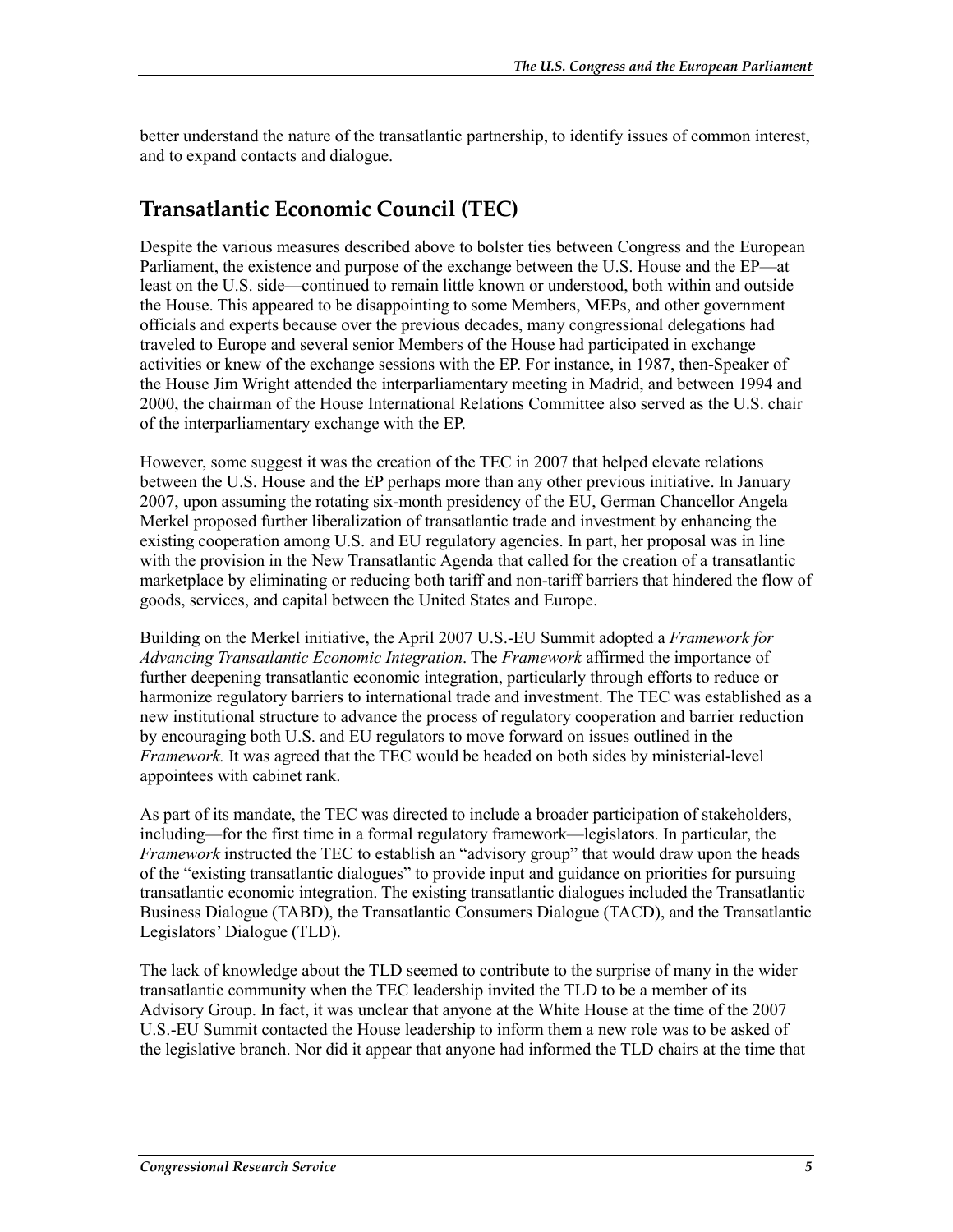better understand the nature of the transatlantic partnership, to identify issues of common interest, and to expand contacts and dialogue.

#### **Transatlantic Economic Council (TEC)**

Despite the various measures described above to bolster ties between Congress and the European Parliament, the existence and purpose of the exchange between the U.S. House and the EP—at least on the U.S. side—continued to remain little known or understood, both within and outside the House. This appeared to be disappointing to some Members, MEPs, and other government officials and experts because over the previous decades, many congressional delegations had traveled to Europe and several senior Members of the House had participated in exchange activities or knew of the exchange sessions with the EP. For instance, in 1987, then-Speaker of the House Jim Wright attended the interparliamentary meeting in Madrid, and between 1994 and 2000, the chairman of the House International Relations Committee also served as the U.S. chair of the interparliamentary exchange with the EP.

However, some suggest it was the creation of the TEC in 2007 that helped elevate relations between the U.S. House and the EP perhaps more than any other previous initiative. In January 2007, upon assuming the rotating six-month presidency of the EU, German Chancellor Angela Merkel proposed further liberalization of transatlantic trade and investment by enhancing the existing cooperation among U.S. and EU regulatory agencies. In part, her proposal was in line with the provision in the New Transatlantic Agenda that called for the creation of a transatlantic marketplace by eliminating or reducing both tariff and non-tariff barriers that hindered the flow of goods, services, and capital between the United States and Europe.

Building on the Merkel initiative, the April 2007 U.S.-EU Summit adopted a *Framework for Advancing Transatlantic Economic Integration*. The *Framework* affirmed the importance of further deepening transatlantic economic integration, particularly through efforts to reduce or harmonize regulatory barriers to international trade and investment. The TEC was established as a new institutional structure to advance the process of regulatory cooperation and barrier reduction by encouraging both U.S. and EU regulators to move forward on issues outlined in the *Framework.* It was agreed that the TEC would be headed on both sides by ministerial-level appointees with cabinet rank.

As part of its mandate, the TEC was directed to include a broader participation of stakeholders, including—for the first time in a formal regulatory framework—legislators. In particular, the *Framework* instructed the TEC to establish an "advisory group" that would draw upon the heads of the "existing transatlantic dialogues" to provide input and guidance on priorities for pursuing transatlantic economic integration. The existing transatlantic dialogues included the Transatlantic Business Dialogue (TABD), the Transatlantic Consumers Dialogue (TACD), and the Transatlantic Legislators' Dialogue (TLD).

The lack of knowledge about the TLD seemed to contribute to the surprise of many in the wider transatlantic community when the TEC leadership invited the TLD to be a member of its Advisory Group. In fact, it was unclear that anyone at the White House at the time of the 2007 U.S.-EU Summit contacted the House leadership to inform them a new role was to be asked of the legislative branch. Nor did it appear that anyone had informed the TLD chairs at the time that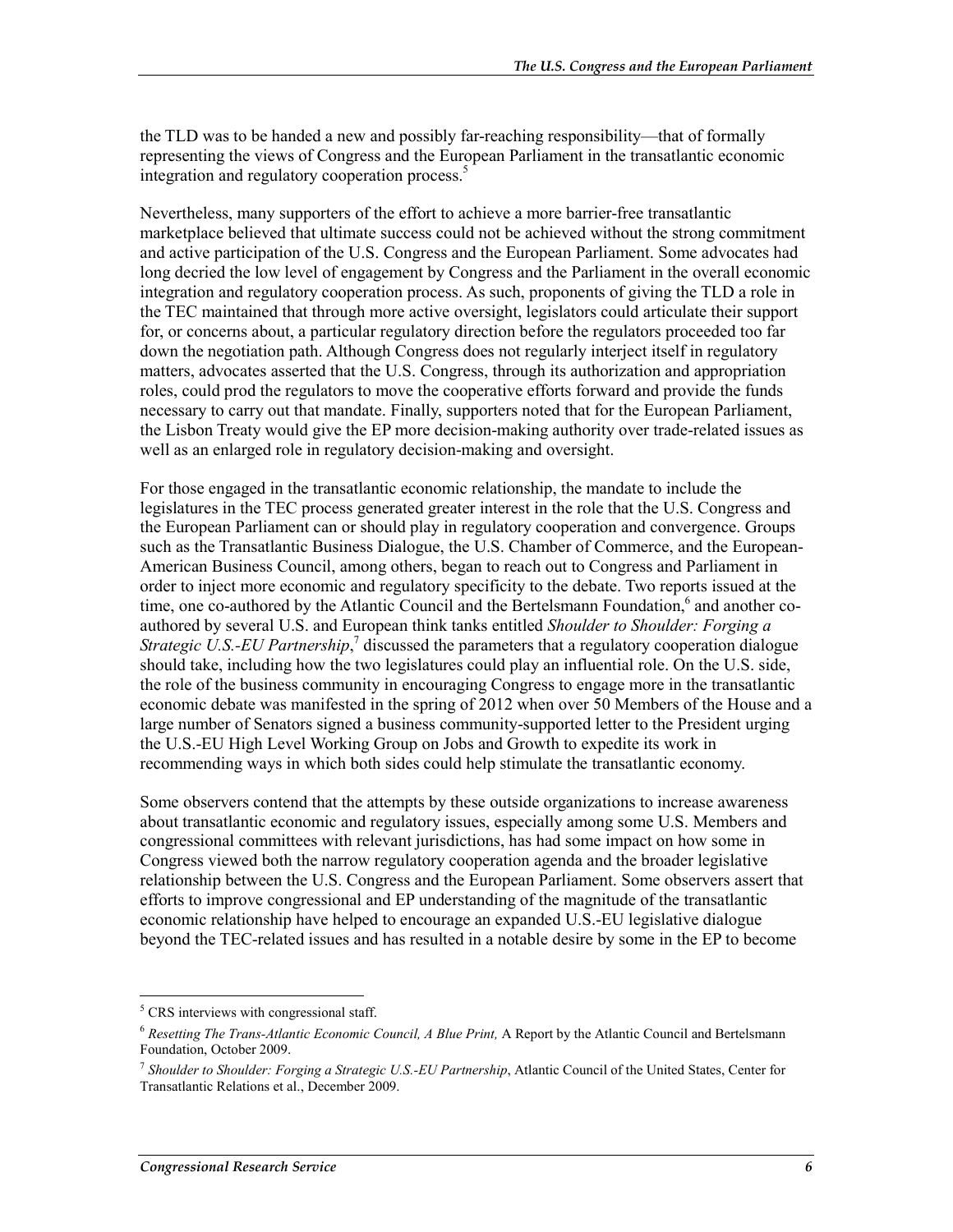the TLD was to be handed a new and possibly far-reaching responsibility—that of formally representing the views of Congress and the European Parliament in the transatlantic economic integration and regulatory cooperation process.<sup>5</sup>

Nevertheless, many supporters of the effort to achieve a more barrier-free transatlantic marketplace believed that ultimate success could not be achieved without the strong commitment and active participation of the U.S. Congress and the European Parliament. Some advocates had long decried the low level of engagement by Congress and the Parliament in the overall economic integration and regulatory cooperation process. As such, proponents of giving the TLD a role in the TEC maintained that through more active oversight, legislators could articulate their support for, or concerns about, a particular regulatory direction before the regulators proceeded too far down the negotiation path. Although Congress does not regularly interject itself in regulatory matters, advocates asserted that the U.S. Congress, through its authorization and appropriation roles, could prod the regulators to move the cooperative efforts forward and provide the funds necessary to carry out that mandate. Finally, supporters noted that for the European Parliament, the Lisbon Treaty would give the EP more decision-making authority over trade-related issues as well as an enlarged role in regulatory decision-making and oversight.

For those engaged in the transatlantic economic relationship, the mandate to include the legislatures in the TEC process generated greater interest in the role that the U.S. Congress and the European Parliament can or should play in regulatory cooperation and convergence. Groups such as the Transatlantic Business Dialogue, the U.S. Chamber of Commerce, and the European-American Business Council, among others, began to reach out to Congress and Parliament in order to inject more economic and regulatory specificity to the debate. Two reports issued at the time, one co-authored by the Atlantic Council and the Bertelsmann Foundation,<sup>6</sup> and another coauthored by several U.S. and European think tanks entitled *Shoulder to Shoulder: Forging a Strategic U.S.-EU Partnership*,<sup>7</sup> discussed the parameters that a regulatory cooperation dialogue should take, including how the two legislatures could play an influential role. On the U.S. side, the role of the business community in encouraging Congress to engage more in the transatlantic economic debate was manifested in the spring of 2012 when over 50 Members of the House and a large number of Senators signed a business community-supported letter to the President urging the U.S.-EU High Level Working Group on Jobs and Growth to expedite its work in recommending ways in which both sides could help stimulate the transatlantic economy.

Some observers contend that the attempts by these outside organizations to increase awareness about transatlantic economic and regulatory issues, especially among some U.S. Members and congressional committees with relevant jurisdictions, has had some impact on how some in Congress viewed both the narrow regulatory cooperation agenda and the broader legislative relationship between the U.S. Congress and the European Parliament. Some observers assert that efforts to improve congressional and EP understanding of the magnitude of the transatlantic economic relationship have helped to encourage an expanded U.S.-EU legislative dialogue beyond the TEC-related issues and has resulted in a notable desire by some in the EP to become

1

<sup>&</sup>lt;sup>5</sup> CRS interviews with congressional staff.

<sup>6</sup> *Resetting The Trans-Atlantic Economic Council, A Blue Print,* A Report by the Atlantic Council and Bertelsmann Foundation, October 2009.

<sup>7</sup> *Shoulder to Shoulder: Forging a Strategic U.S.-EU Partnership*, Atlantic Council of the United States, Center for Transatlantic Relations et al., December 2009.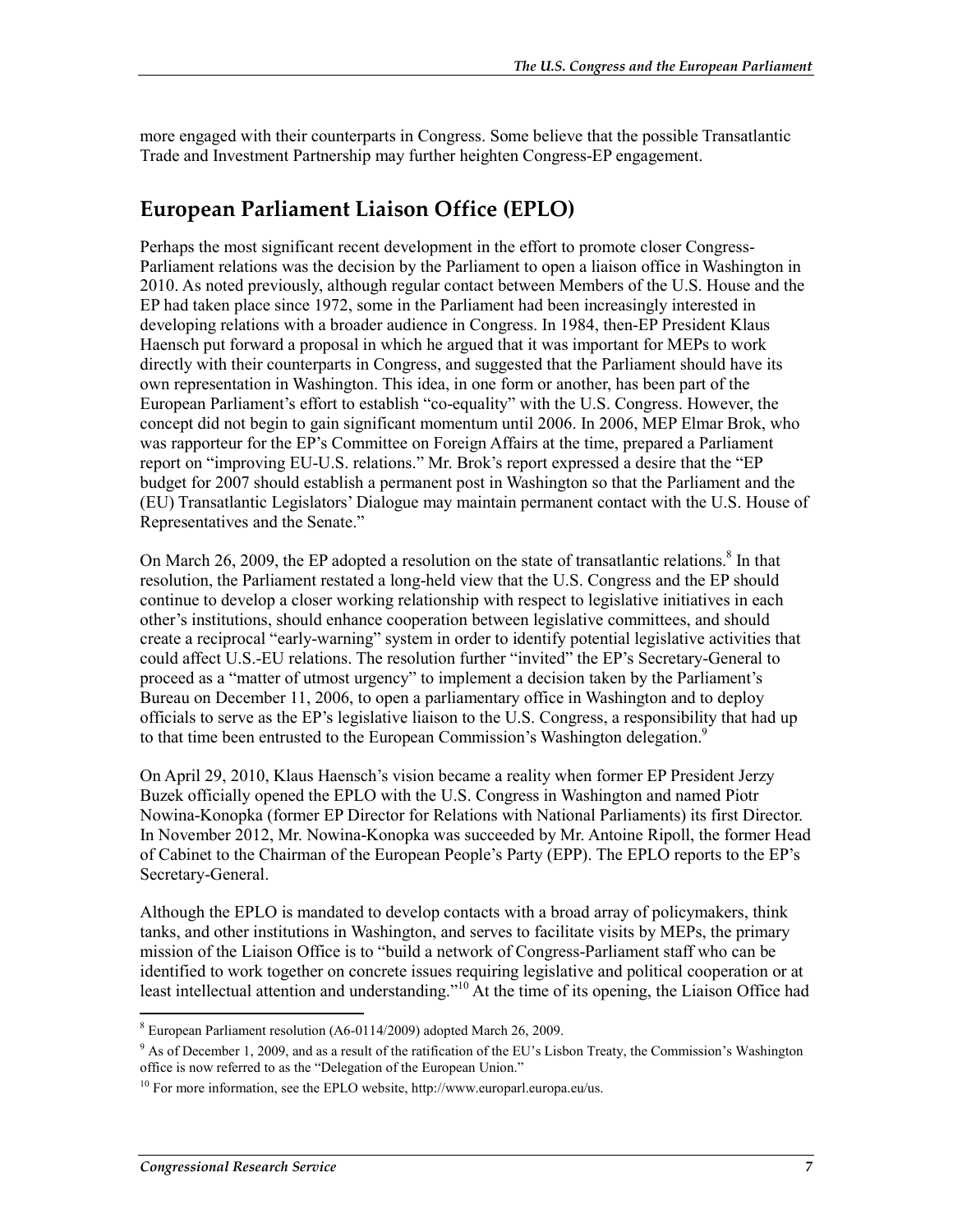more engaged with their counterparts in Congress. Some believe that the possible Transatlantic Trade and Investment Partnership may further heighten Congress-EP engagement.

#### **European Parliament Liaison Office (EPLO)**

Perhaps the most significant recent development in the effort to promote closer Congress-Parliament relations was the decision by the Parliament to open a liaison office in Washington in 2010. As noted previously, although regular contact between Members of the U.S. House and the EP had taken place since 1972, some in the Parliament had been increasingly interested in developing relations with a broader audience in Congress. In 1984, then-EP President Klaus Haensch put forward a proposal in which he argued that it was important for MEPs to work directly with their counterparts in Congress, and suggested that the Parliament should have its own representation in Washington. This idea, in one form or another, has been part of the European Parliament's effort to establish "co-equality" with the U.S. Congress. However, the concept did not begin to gain significant momentum until 2006. In 2006, MEP Elmar Brok, who was rapporteur for the EP's Committee on Foreign Affairs at the time, prepared a Parliament report on "improving EU-U.S. relations." Mr. Brok's report expressed a desire that the "EP budget for 2007 should establish a permanent post in Washington so that the Parliament and the (EU) Transatlantic Legislators' Dialogue may maintain permanent contact with the U.S. House of Representatives and the Senate."

On March 26, 2009, the EP adopted a resolution on the state of transatlantic relations.<sup>8</sup> In that resolution, the Parliament restated a long-held view that the U.S. Congress and the EP should continue to develop a closer working relationship with respect to legislative initiatives in each other's institutions, should enhance cooperation between legislative committees, and should create a reciprocal "early-warning" system in order to identify potential legislative activities that could affect U.S.-EU relations. The resolution further "invited" the EP's Secretary-General to proceed as a "matter of utmost urgency" to implement a decision taken by the Parliament's Bureau on December 11, 2006, to open a parliamentary office in Washington and to deploy officials to serve as the EP's legislative liaison to the U.S. Congress, a responsibility that had up to that time been entrusted to the European Commission's Washington delegation.<sup>9</sup>

On April 29, 2010, Klaus Haensch's vision became a reality when former EP President Jerzy Buzek officially opened the EPLO with the U.S. Congress in Washington and named Piotr Nowina-Konopka (former EP Director for Relations with National Parliaments) its first Director. In November 2012, Mr. Nowina-Konopka was succeeded by Mr. Antoine Ripoll, the former Head of Cabinet to the Chairman of the European People's Party (EPP). The EPLO reports to the EP's Secretary-General.

Although the EPLO is mandated to develop contacts with a broad array of policymakers, think tanks, and other institutions in Washington, and serves to facilitate visits by MEPs, the primary mission of the Liaison Office is to "build a network of Congress-Parliament staff who can be identified to work together on concrete issues requiring legislative and political cooperation or at least intellectual attention and understanding."<sup>10</sup> At the time of its opening, the Liaison Office had

<sup>&</sup>lt;sup>8</sup> European Parliament resolution (A6-0114/2009) adopted March 26, 2009.

<sup>&</sup>lt;sup>9</sup> As of December 1, 2009, and as a result of the ratification of the EU's Lisbon Treaty, the Commission's Washington office is now referred to as the "Delegation of the European Union."

<sup>&</sup>lt;sup>10</sup> For more information, see the EPLO website, http://www.europarl.europa.eu/us.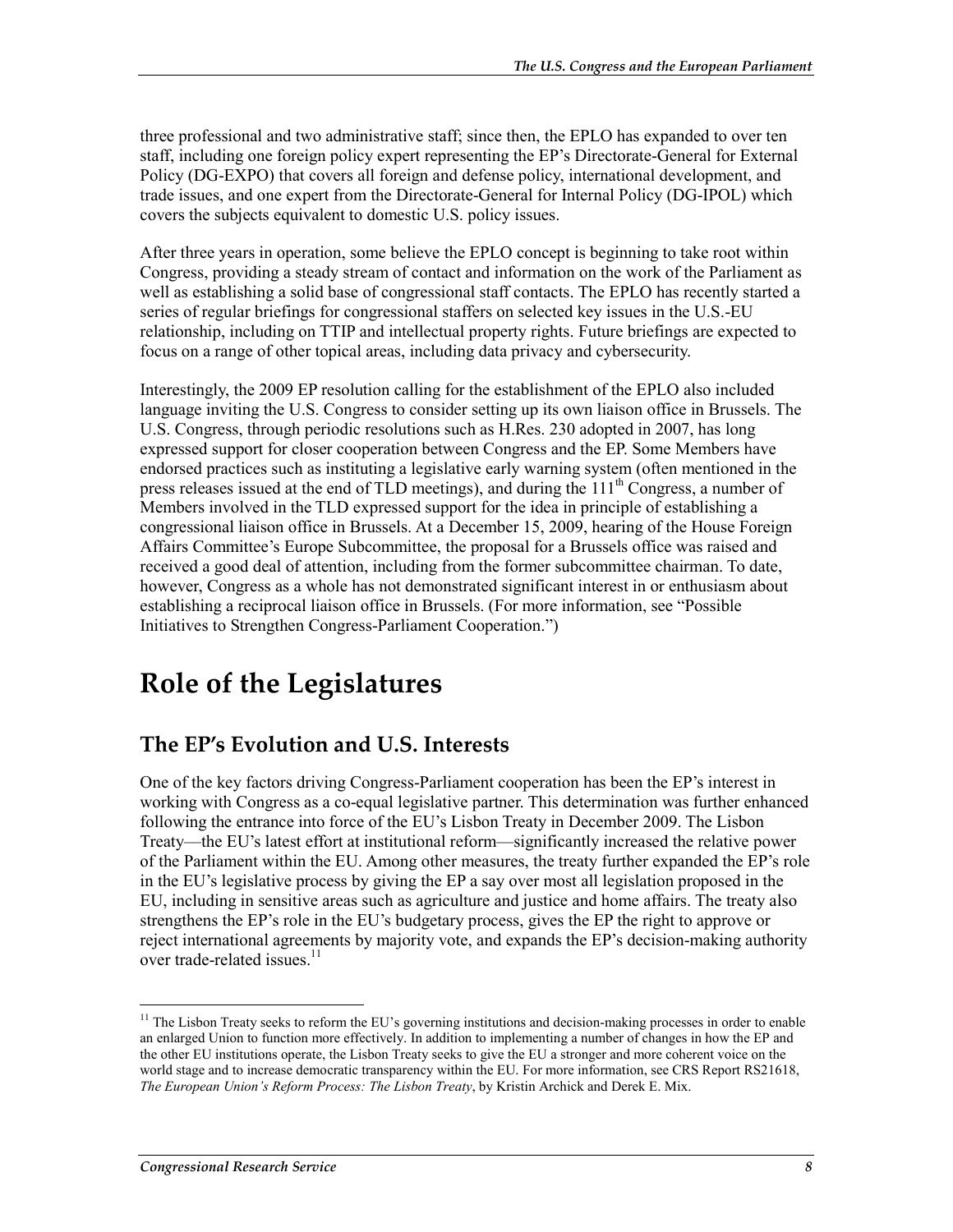three professional and two administrative staff; since then, the EPLO has expanded to over ten staff, including one foreign policy expert representing the EP's Directorate-General for External Policy (DG-EXPO) that covers all foreign and defense policy, international development, and trade issues, and one expert from the Directorate-General for Internal Policy (DG-IPOL) which covers the subjects equivalent to domestic U.S. policy issues.

After three years in operation, some believe the EPLO concept is beginning to take root within Congress, providing a steady stream of contact and information on the work of the Parliament as well as establishing a solid base of congressional staff contacts. The EPLO has recently started a series of regular briefings for congressional staffers on selected key issues in the U.S.-EU relationship, including on TTIP and intellectual property rights. Future briefings are expected to focus on a range of other topical areas, including data privacy and cybersecurity.

Interestingly, the 2009 EP resolution calling for the establishment of the EPLO also included language inviting the U.S. Congress to consider setting up its own liaison office in Brussels. The U.S. Congress, through periodic resolutions such as H.Res. 230 adopted in 2007, has long expressed support for closer cooperation between Congress and the EP. Some Members have endorsed practices such as instituting a legislative early warning system (often mentioned in the press releases issued at the end of TLD meetings), and during the  $111<sup>th</sup>$  Congress, a number of Members involved in the TLD expressed support for the idea in principle of establishing a congressional liaison office in Brussels. At a December 15, 2009, hearing of the House Foreign Affairs Committee's Europe Subcommittee, the proposal for a Brussels office was raised and received a good deal of attention, including from the former subcommittee chairman. To date, however, Congress as a whole has not demonstrated significant interest in or enthusiasm about establishing a reciprocal liaison office in Brussels. (For more information, see "Possible Initiatives to Strengthen Congress-Parliament Cooperation.")

### **Role of the Legislatures**

#### **The EP's Evolution and U.S. Interests**

One of the key factors driving Congress-Parliament cooperation has been the EP's interest in working with Congress as a co-equal legislative partner. This determination was further enhanced following the entrance into force of the EU's Lisbon Treaty in December 2009. The Lisbon Treaty—the EU's latest effort at institutional reform—significantly increased the relative power of the Parliament within the EU. Among other measures, the treaty further expanded the EP's role in the EU's legislative process by giving the EP a say over most all legislation proposed in the EU, including in sensitive areas such as agriculture and justice and home affairs. The treaty also strengthens the EP's role in the EU's budgetary process, gives the EP the right to approve or reject international agreements by majority vote, and expands the EP's decision-making authority over trade-related issues.<sup>11</sup>

1

<sup>&</sup>lt;sup>11</sup> The Lisbon Treaty seeks to reform the EU's governing institutions and decision-making processes in order to enable an enlarged Union to function more effectively. In addition to implementing a number of changes in how the EP and the other EU institutions operate, the Lisbon Treaty seeks to give the EU a stronger and more coherent voice on the world stage and to increase democratic transparency within the EU. For more information, see CRS Report RS21618, *The European Union's Reform Process: The Lisbon Treaty*, by Kristin Archick and Derek E. Mix.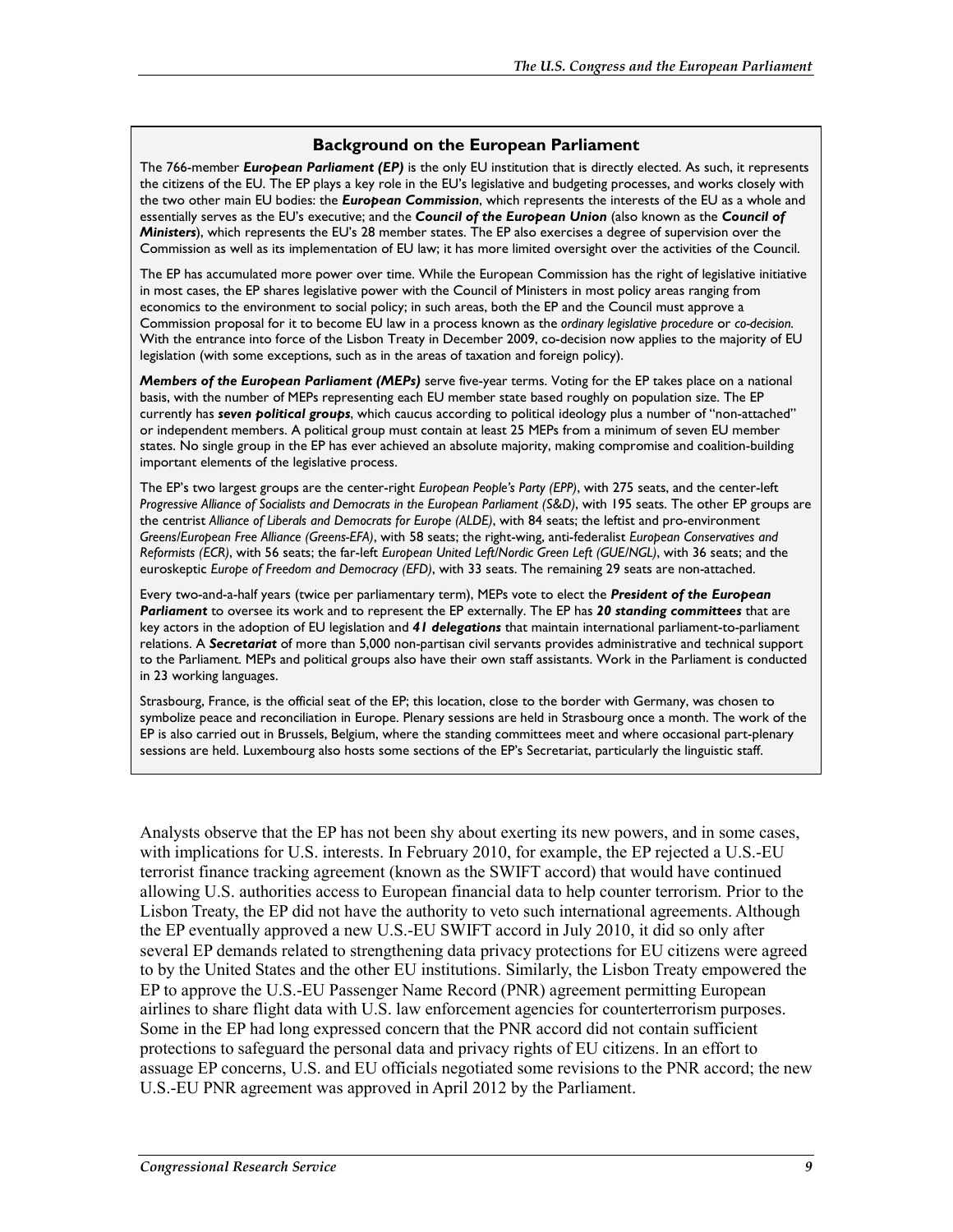#### **Background on the European Parliament**

The 766-member *European Parliament (EP)* is the only EU institution that is directly elected. As such, it represents the citizens of the EU. The EP plays a key role in the EU's legislative and budgeting processes, and works closely with the two other main EU bodies: the *European Commission*, which represents the interests of the EU as a whole and essentially serves as the EU's executive; and the *Council of the European Union* (also known as the *Council of Ministers*), which represents the EU's 28 member states. The EP also exercises a degree of supervision over the Commission as well as its implementation of EU law; it has more limited oversight over the activities of the Council.

The EP has accumulated more power over time. While the European Commission has the right of legislative initiative in most cases, the EP shares legislative power with the Council of Ministers in most policy areas ranging from economics to the environment to social policy; in such areas, both the EP and the Council must approve a Commission proposal for it to become EU law in a process known as the *ordinary legislative procedure* or *co-decision.* With the entrance into force of the Lisbon Treaty in December 2009, co-decision now applies to the majority of EU legislation (with some exceptions, such as in the areas of taxation and foreign policy).

*Members of the European Parliament (MEPs)* serve five-year terms. Voting for the EP takes place on a national basis, with the number of MEPs representing each EU member state based roughly on population size. The EP currently has *seven political groups*, which caucus according to political ideology plus a number of "non-attached" or independent members. A political group must contain at least 25 MEPs from a minimum of seven EU member states. No single group in the EP has ever achieved an absolute majority, making compromise and coalition-building important elements of the legislative process.

The EP's two largest groups are the center-right *European People's Party (EPP)*, with 275 seats, and the center-left *Progressive Alliance of Socialists and Democrats in the European Parliament (S&D)*, with 195 seats. The other EP groups are the centrist *Alliance of Liberals and Democrats for Europe (ALDE)*, with 84 seats; the leftist and pro-environment *Greens/European Free Alliance (Greens-EFA)*, with 58 seats; the right-wing, anti-federalist *European Conservatives and Reformists (ECR)*, with 56 seats; the far-left *European United Left/Nordic Green Left (GUE/NGL)*, with 36 seats; and the euroskeptic *Europe of Freedom and Democracy (EFD)*, with 33 seats. The remaining 29 seats are non-attached.

Every two-and-a-half years (twice per parliamentary term), MEPs vote to elect the *President of the European Parliament* to oversee its work and to represent the EP externally. The EP has *20 standing committees* that are key actors in the adoption of EU legislation and *41 delegations* that maintain international parliament-to-parliament relations. A *Secretariat* of more than 5,000 non-partisan civil servants provides administrative and technical support to the Parliament. MEPs and political groups also have their own staff assistants. Work in the Parliament is conducted in 23 working languages.

Strasbourg, France, is the official seat of the EP; this location, close to the border with Germany, was chosen to symbolize peace and reconciliation in Europe. Plenary sessions are held in Strasbourg once a month. The work of the EP is also carried out in Brussels, Belgium, where the standing committees meet and where occasional part-plenary sessions are held. Luxembourg also hosts some sections of the EP's Secretariat, particularly the linguistic staff.

Analysts observe that the EP has not been shy about exerting its new powers, and in some cases, with implications for U.S. interests. In February 2010, for example, the EP rejected a U.S.-EU terrorist finance tracking agreement (known as the SWIFT accord) that would have continued allowing U.S. authorities access to European financial data to help counter terrorism. Prior to the Lisbon Treaty, the EP did not have the authority to veto such international agreements. Although the EP eventually approved a new U.S.-EU SWIFT accord in July 2010, it did so only after several EP demands related to strengthening data privacy protections for EU citizens were agreed to by the United States and the other EU institutions. Similarly, the Lisbon Treaty empowered the EP to approve the U.S.-EU Passenger Name Record (PNR) agreement permitting European airlines to share flight data with U.S. law enforcement agencies for counterterrorism purposes. Some in the EP had long expressed concern that the PNR accord did not contain sufficient protections to safeguard the personal data and privacy rights of EU citizens. In an effort to assuage EP concerns, U.S. and EU officials negotiated some revisions to the PNR accord; the new U.S.-EU PNR agreement was approved in April 2012 by the Parliament.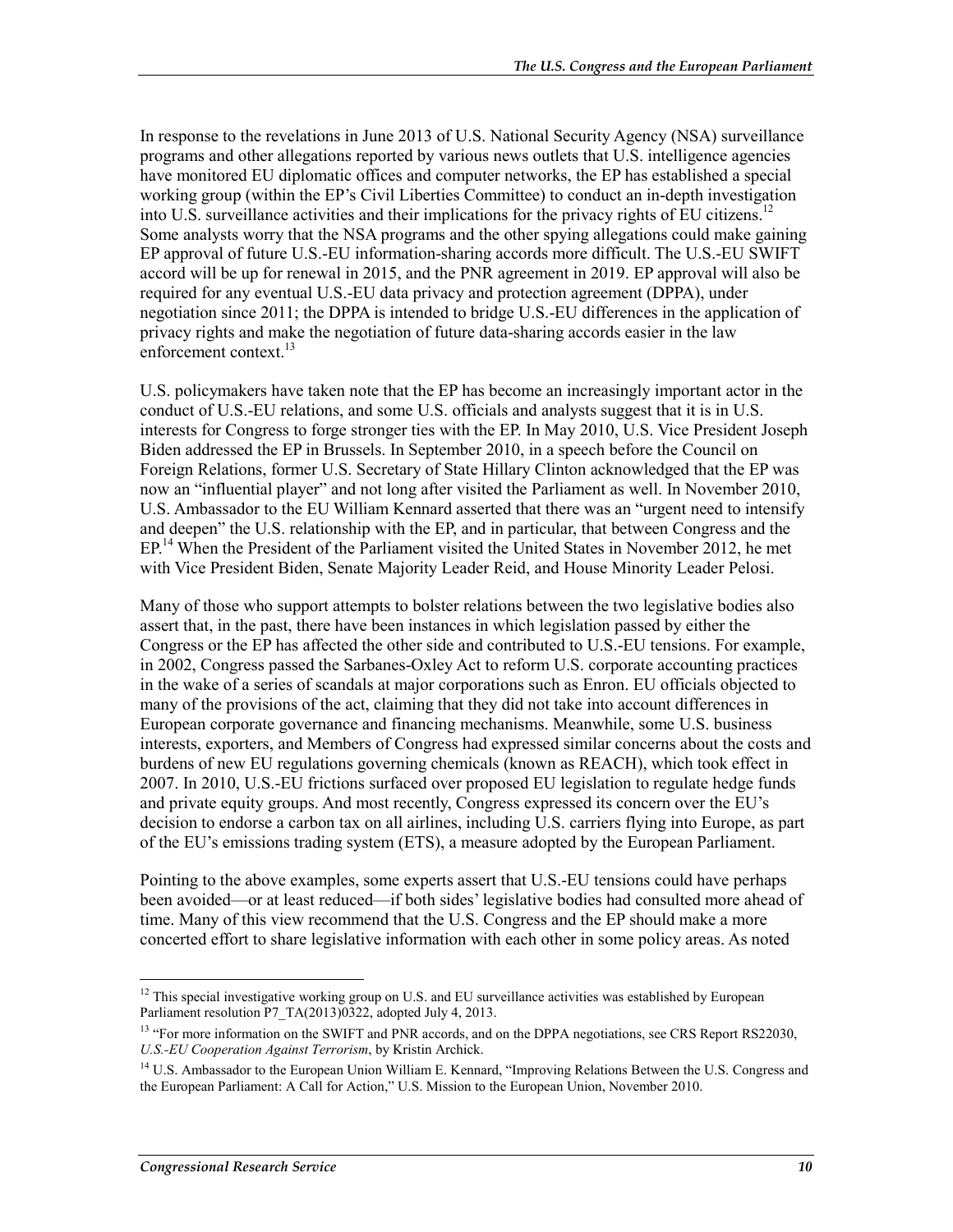In response to the revelations in June 2013 of U.S. National Security Agency (NSA) surveillance programs and other allegations reported by various news outlets that U.S. intelligence agencies have monitored EU diplomatic offices and computer networks, the EP has established a special working group (within the EP's Civil Liberties Committee) to conduct an in-depth investigation into U.S. surveillance activities and their implications for the privacy rights of EU citizens.<sup>12</sup> Some analysts worry that the NSA programs and the other spying allegations could make gaining EP approval of future U.S.-EU information-sharing accords more difficult. The U.S.-EU SWIFT accord will be up for renewal in 2015, and the PNR agreement in 2019. EP approval will also be required for any eventual U.S.-EU data privacy and protection agreement (DPPA), under negotiation since 2011; the DPPA is intended to bridge U.S.-EU differences in the application of privacy rights and make the negotiation of future data-sharing accords easier in the law enforcement context.<sup>13</sup>

U.S. policymakers have taken note that the EP has become an increasingly important actor in the conduct of U.S.-EU relations, and some U.S. officials and analysts suggest that it is in U.S. interests for Congress to forge stronger ties with the EP. In May 2010, U.S. Vice President Joseph Biden addressed the EP in Brussels. In September 2010, in a speech before the Council on Foreign Relations, former U.S. Secretary of State Hillary Clinton acknowledged that the EP was now an "influential player" and not long after visited the Parliament as well. In November 2010, U.S. Ambassador to the EU William Kennard asserted that there was an "urgent need to intensify and deepen" the U.S. relationship with the EP, and in particular, that between Congress and the EP.<sup>14</sup> When the President of the Parliament visited the United States in November 2012, he met with Vice President Biden, Senate Majority Leader Reid, and House Minority Leader Pelosi.

Many of those who support attempts to bolster relations between the two legislative bodies also assert that, in the past, there have been instances in which legislation passed by either the Congress or the EP has affected the other side and contributed to U.S.-EU tensions. For example, in 2002, Congress passed the Sarbanes-Oxley Act to reform U.S. corporate accounting practices in the wake of a series of scandals at major corporations such as Enron. EU officials objected to many of the provisions of the act, claiming that they did not take into account differences in European corporate governance and financing mechanisms. Meanwhile, some U.S. business interests, exporters, and Members of Congress had expressed similar concerns about the costs and burdens of new EU regulations governing chemicals (known as REACH), which took effect in 2007. In 2010, U.S.-EU frictions surfaced over proposed EU legislation to regulate hedge funds and private equity groups. And most recently, Congress expressed its concern over the EU's decision to endorse a carbon tax on all airlines, including U.S. carriers flying into Europe, as part of the EU's emissions trading system (ETS), a measure adopted by the European Parliament.

Pointing to the above examples, some experts assert that U.S.-EU tensions could have perhaps been avoided—or at least reduced—if both sides' legislative bodies had consulted more ahead of time. Many of this view recommend that the U.S. Congress and the EP should make a more concerted effort to share legislative information with each other in some policy areas. As noted

1

<sup>&</sup>lt;sup>12</sup> This special investigative working group on U.S. and EU surveillance activities was established by European Parliament resolution P7\_TA(2013)0322, adopted July 4, 2013.

<sup>&</sup>lt;sup>13</sup> "For more information on the SWIFT and PNR accords, and on the DPPA negotiations, see CRS Report RS22030, *U.S.-EU Cooperation Against Terrorism*, by Kristin Archick.

<sup>&</sup>lt;sup>14</sup> U.S. Ambassador to the European Union William E. Kennard, "Improving Relations Between the U.S. Congress and the European Parliament: A Call for Action," U.S. Mission to the European Union, November 2010.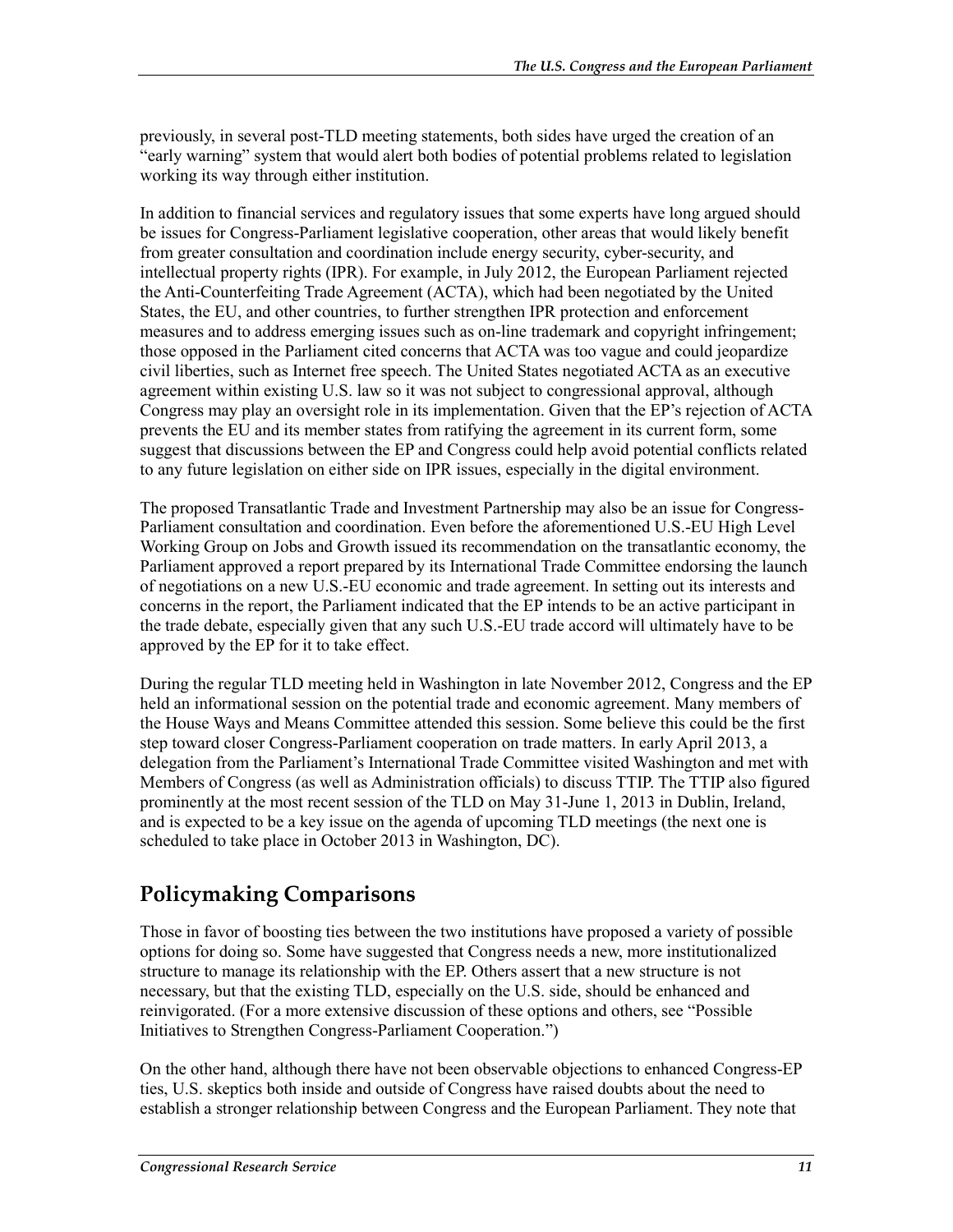previously, in several post-TLD meeting statements, both sides have urged the creation of an "early warning" system that would alert both bodies of potential problems related to legislation working its way through either institution.

In addition to financial services and regulatory issues that some experts have long argued should be issues for Congress-Parliament legislative cooperation, other areas that would likely benefit from greater consultation and coordination include energy security, cyber-security, and intellectual property rights (IPR). For example, in July 2012, the European Parliament rejected the Anti-Counterfeiting Trade Agreement (ACTA), which had been negotiated by the United States, the EU, and other countries, to further strengthen IPR protection and enforcement measures and to address emerging issues such as on-line trademark and copyright infringement; those opposed in the Parliament cited concerns that ACTA was too vague and could jeopardize civil liberties, such as Internet free speech. The United States negotiated ACTA as an executive agreement within existing U.S. law so it was not subject to congressional approval, although Congress may play an oversight role in its implementation. Given that the EP's rejection of ACTA prevents the EU and its member states from ratifying the agreement in its current form, some suggest that discussions between the EP and Congress could help avoid potential conflicts related to any future legislation on either side on IPR issues, especially in the digital environment.

The proposed Transatlantic Trade and Investment Partnership may also be an issue for Congress-Parliament consultation and coordination. Even before the aforementioned U.S.-EU High Level Working Group on Jobs and Growth issued its recommendation on the transatlantic economy, the Parliament approved a report prepared by its International Trade Committee endorsing the launch of negotiations on a new U.S.-EU economic and trade agreement. In setting out its interests and concerns in the report, the Parliament indicated that the EP intends to be an active participant in the trade debate, especially given that any such U.S.-EU trade accord will ultimately have to be approved by the EP for it to take effect.

During the regular TLD meeting held in Washington in late November 2012, Congress and the EP held an informational session on the potential trade and economic agreement. Many members of the House Ways and Means Committee attended this session. Some believe this could be the first step toward closer Congress-Parliament cooperation on trade matters. In early April 2013, a delegation from the Parliament's International Trade Committee visited Washington and met with Members of Congress (as well as Administration officials) to discuss TTIP. The TTIP also figured prominently at the most recent session of the TLD on May 31-June 1, 2013 in Dublin, Ireland, and is expected to be a key issue on the agenda of upcoming TLD meetings (the next one is scheduled to take place in October 2013 in Washington, DC).

#### **Policymaking Comparisons**

Those in favor of boosting ties between the two institutions have proposed a variety of possible options for doing so. Some have suggested that Congress needs a new, more institutionalized structure to manage its relationship with the EP. Others assert that a new structure is not necessary, but that the existing TLD, especially on the U.S. side, should be enhanced and reinvigorated. (For a more extensive discussion of these options and others, see "Possible Initiatives to Strengthen Congress-Parliament Cooperation.")

On the other hand, although there have not been observable objections to enhanced Congress-EP ties, U.S. skeptics both inside and outside of Congress have raised doubts about the need to establish a stronger relationship between Congress and the European Parliament. They note that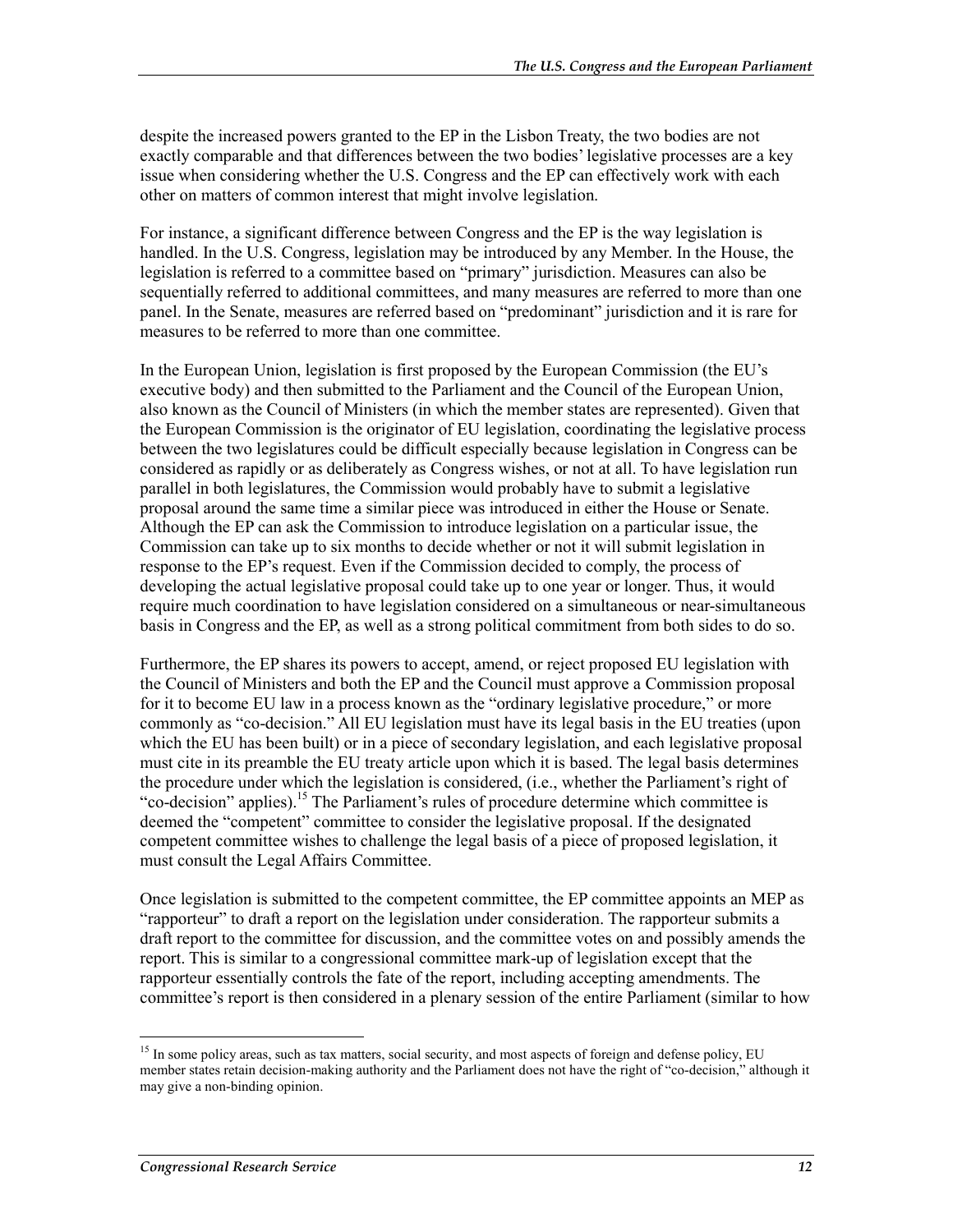despite the increased powers granted to the EP in the Lisbon Treaty, the two bodies are not exactly comparable and that differences between the two bodies' legislative processes are a key issue when considering whether the U.S. Congress and the EP can effectively work with each other on matters of common interest that might involve legislation.

For instance, a significant difference between Congress and the EP is the way legislation is handled. In the U.S. Congress, legislation may be introduced by any Member. In the House, the legislation is referred to a committee based on "primary" jurisdiction. Measures can also be sequentially referred to additional committees, and many measures are referred to more than one panel. In the Senate, measures are referred based on "predominant" jurisdiction and it is rare for measures to be referred to more than one committee.

In the European Union, legislation is first proposed by the European Commission (the EU's executive body) and then submitted to the Parliament and the Council of the European Union, also known as the Council of Ministers (in which the member states are represented). Given that the European Commission is the originator of EU legislation, coordinating the legislative process between the two legislatures could be difficult especially because legislation in Congress can be considered as rapidly or as deliberately as Congress wishes, or not at all. To have legislation run parallel in both legislatures, the Commission would probably have to submit a legislative proposal around the same time a similar piece was introduced in either the House or Senate. Although the EP can ask the Commission to introduce legislation on a particular issue, the Commission can take up to six months to decide whether or not it will submit legislation in response to the EP's request. Even if the Commission decided to comply, the process of developing the actual legislative proposal could take up to one year or longer. Thus, it would require much coordination to have legislation considered on a simultaneous or near-simultaneous basis in Congress and the EP, as well as a strong political commitment from both sides to do so.

Furthermore, the EP shares its powers to accept, amend, or reject proposed EU legislation with the Council of Ministers and both the EP and the Council must approve a Commission proposal for it to become EU law in a process known as the "ordinary legislative procedure," or more commonly as "co-decision." All EU legislation must have its legal basis in the EU treaties (upon which the EU has been built) or in a piece of secondary legislation, and each legislative proposal must cite in its preamble the EU treaty article upon which it is based. The legal basis determines the procedure under which the legislation is considered, (i.e., whether the Parliament's right of "co-decision" applies).<sup>15</sup> The Parliament's rules of procedure determine which committee is deemed the "competent" committee to consider the legislative proposal. If the designated competent committee wishes to challenge the legal basis of a piece of proposed legislation, it must consult the Legal Affairs Committee.

Once legislation is submitted to the competent committee, the EP committee appoints an MEP as "rapporteur" to draft a report on the legislation under consideration. The rapporteur submits a draft report to the committee for discussion, and the committee votes on and possibly amends the report. This is similar to a congressional committee mark-up of legislation except that the rapporteur essentially controls the fate of the report, including accepting amendments. The committee's report is then considered in a plenary session of the entire Parliament (similar to how

1

<sup>&</sup>lt;sup>15</sup> In some policy areas, such as tax matters, social security, and most aspects of foreign and defense policy, EU member states retain decision-making authority and the Parliament does not have the right of "co-decision," although it may give a non-binding opinion.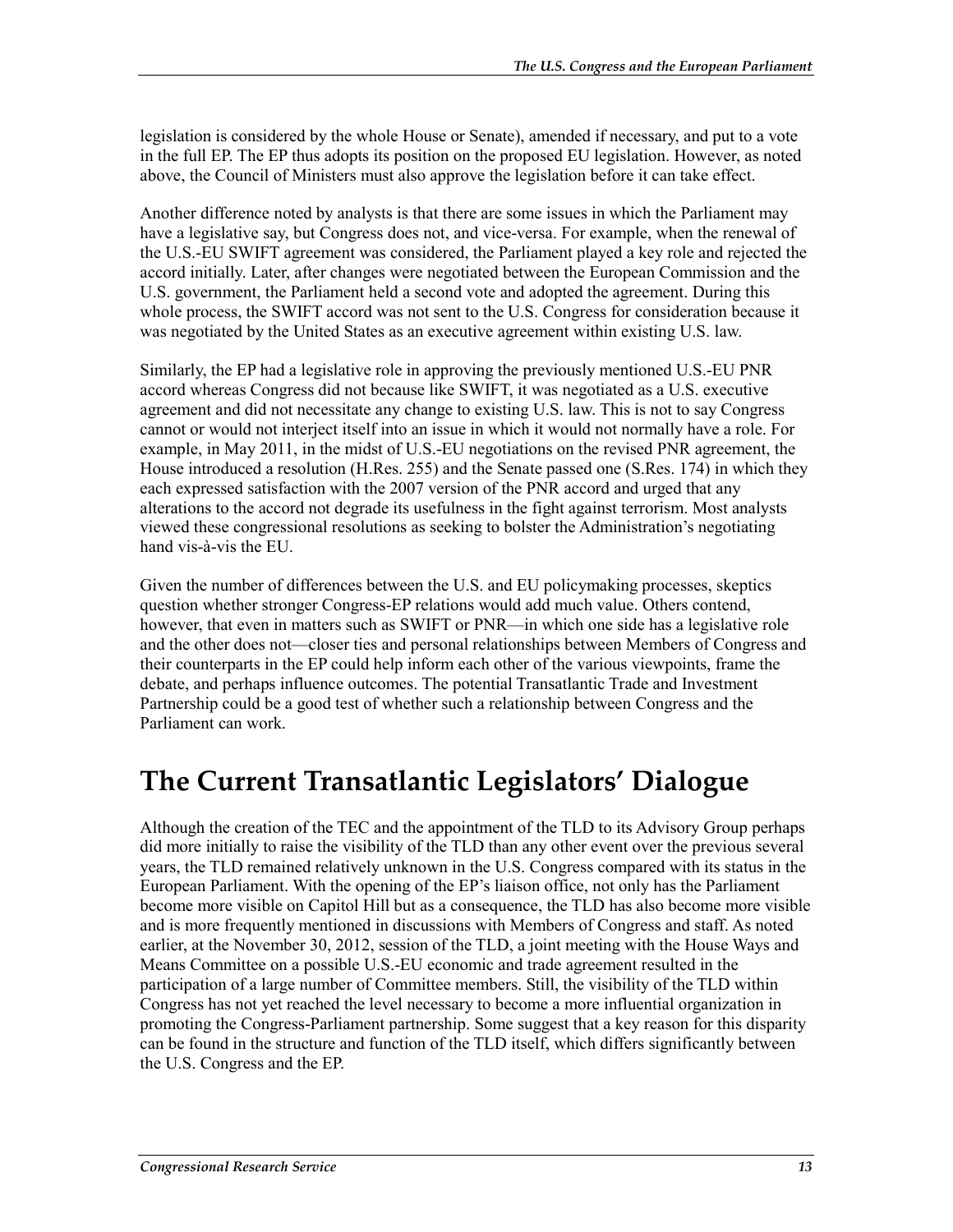legislation is considered by the whole House or Senate), amended if necessary, and put to a vote in the full EP. The EP thus adopts its position on the proposed EU legislation. However, as noted above, the Council of Ministers must also approve the legislation before it can take effect.

Another difference noted by analysts is that there are some issues in which the Parliament may have a legislative say, but Congress does not, and vice-versa. For example, when the renewal of the U.S.-EU SWIFT agreement was considered, the Parliament played a key role and rejected the accord initially. Later, after changes were negotiated between the European Commission and the U.S. government, the Parliament held a second vote and adopted the agreement. During this whole process, the SWIFT accord was not sent to the U.S. Congress for consideration because it was negotiated by the United States as an executive agreement within existing U.S. law.

Similarly, the EP had a legislative role in approving the previously mentioned U.S.-EU PNR accord whereas Congress did not because like SWIFT, it was negotiated as a U.S. executive agreement and did not necessitate any change to existing U.S. law. This is not to say Congress cannot or would not interject itself into an issue in which it would not normally have a role. For example, in May 2011, in the midst of U.S.-EU negotiations on the revised PNR agreement, the House introduced a resolution (H.Res. 255) and the Senate passed one (S.Res. 174) in which they each expressed satisfaction with the 2007 version of the PNR accord and urged that any alterations to the accord not degrade its usefulness in the fight against terrorism. Most analysts viewed these congressional resolutions as seeking to bolster the Administration's negotiating hand vis-à-vis the EU.

Given the number of differences between the U.S. and EU policymaking processes, skeptics question whether stronger Congress-EP relations would add much value. Others contend, however, that even in matters such as SWIFT or PNR—in which one side has a legislative role and the other does not—closer ties and personal relationships between Members of Congress and their counterparts in the EP could help inform each other of the various viewpoints, frame the debate, and perhaps influence outcomes. The potential Transatlantic Trade and Investment Partnership could be a good test of whether such a relationship between Congress and the Parliament can work.

### **The Current Transatlantic Legislators' Dialogue**

Although the creation of the TEC and the appointment of the TLD to its Advisory Group perhaps did more initially to raise the visibility of the TLD than any other event over the previous several years, the TLD remained relatively unknown in the U.S. Congress compared with its status in the European Parliament. With the opening of the EP's liaison office, not only has the Parliament become more visible on Capitol Hill but as a consequence, the TLD has also become more visible and is more frequently mentioned in discussions with Members of Congress and staff. As noted earlier, at the November 30, 2012, session of the TLD, a joint meeting with the House Ways and Means Committee on a possible U.S.-EU economic and trade agreement resulted in the participation of a large number of Committee members. Still, the visibility of the TLD within Congress has not yet reached the level necessary to become a more influential organization in promoting the Congress-Parliament partnership. Some suggest that a key reason for this disparity can be found in the structure and function of the TLD itself, which differs significantly between the U.S. Congress and the EP.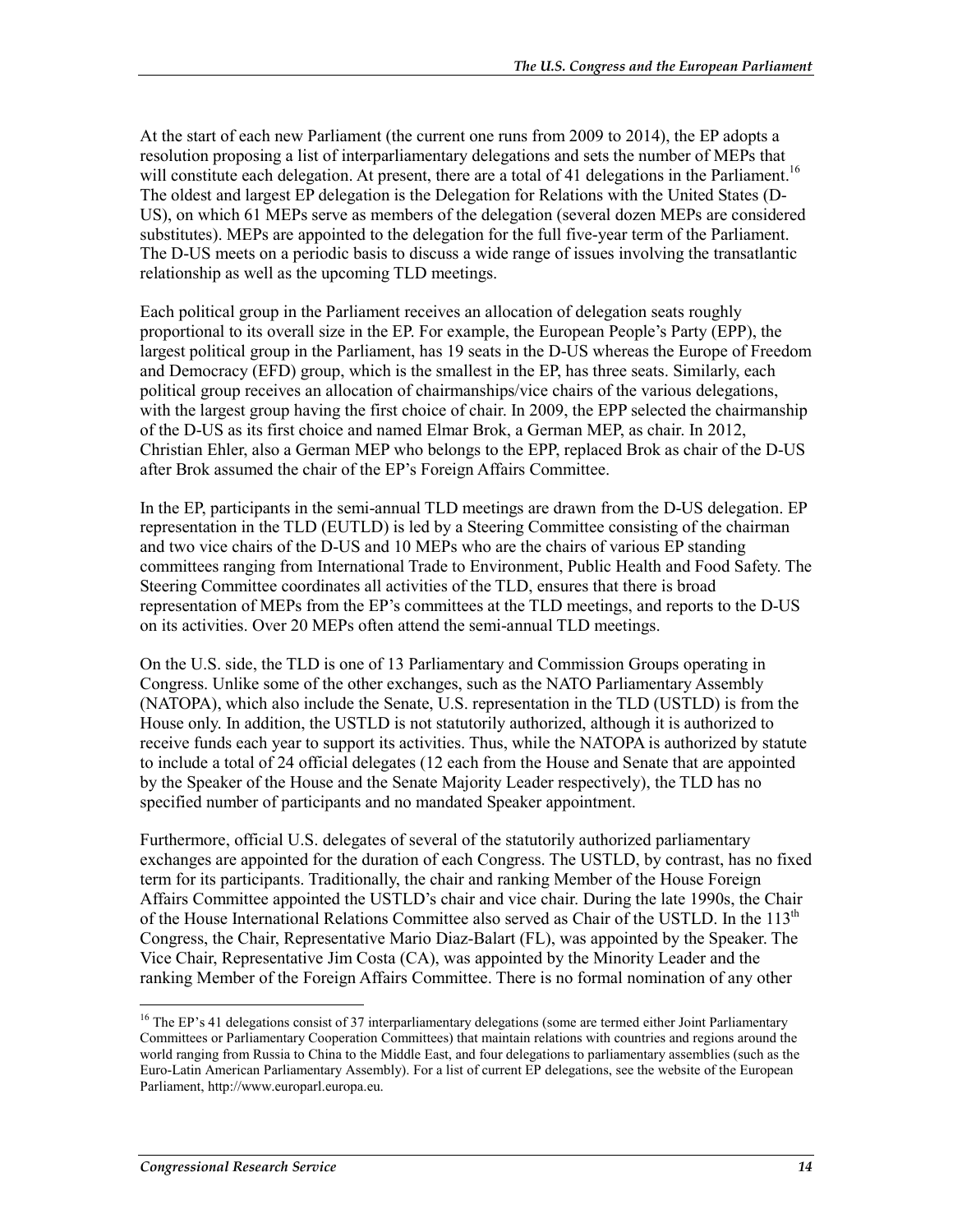At the start of each new Parliament (the current one runs from 2009 to 2014), the EP adopts a resolution proposing a list of interparliamentary delegations and sets the number of MEPs that will constitute each delegation. At present, there are a total of 41 delegations in the Parliament.<sup>16</sup> The oldest and largest EP delegation is the Delegation for Relations with the United States (D-US), on which 61 MEPs serve as members of the delegation (several dozen MEPs are considered substitutes). MEPs are appointed to the delegation for the full five-year term of the Parliament. The D-US meets on a periodic basis to discuss a wide range of issues involving the transatlantic relationship as well as the upcoming TLD meetings.

Each political group in the Parliament receives an allocation of delegation seats roughly proportional to its overall size in the EP. For example, the European People's Party (EPP), the largest political group in the Parliament, has 19 seats in the D-US whereas the Europe of Freedom and Democracy (EFD) group, which is the smallest in the EP, has three seats. Similarly, each political group receives an allocation of chairmanships/vice chairs of the various delegations, with the largest group having the first choice of chair. In 2009, the EPP selected the chairmanship of the D-US as its first choice and named Elmar Brok, a German MEP, as chair. In 2012, Christian Ehler, also a German MEP who belongs to the EPP, replaced Brok as chair of the D-US after Brok assumed the chair of the EP's Foreign Affairs Committee.

In the EP, participants in the semi-annual TLD meetings are drawn from the D-US delegation. EP representation in the TLD (EUTLD) is led by a Steering Committee consisting of the chairman and two vice chairs of the D-US and 10 MEPs who are the chairs of various EP standing committees ranging from International Trade to Environment, Public Health and Food Safety. The Steering Committee coordinates all activities of the TLD, ensures that there is broad representation of MEPs from the EP's committees at the TLD meetings, and reports to the D-US on its activities. Over 20 MEPs often attend the semi-annual TLD meetings.

On the U.S. side, the TLD is one of 13 Parliamentary and Commission Groups operating in Congress. Unlike some of the other exchanges, such as the NATO Parliamentary Assembly (NATOPA), which also include the Senate, U.S. representation in the TLD (USTLD) is from the House only. In addition, the USTLD is not statutorily authorized, although it is authorized to receive funds each year to support its activities. Thus, while the NATOPA is authorized by statute to include a total of 24 official delegates (12 each from the House and Senate that are appointed by the Speaker of the House and the Senate Majority Leader respectively), the TLD has no specified number of participants and no mandated Speaker appointment.

Furthermore, official U.S. delegates of several of the statutorily authorized parliamentary exchanges are appointed for the duration of each Congress. The USTLD, by contrast, has no fixed term for its participants. Traditionally, the chair and ranking Member of the House Foreign Affairs Committee appointed the USTLD's chair and vice chair. During the late 1990s, the Chair of the House International Relations Committee also served as Chair of the USTLD. In the  $113<sup>th</sup>$ Congress, the Chair, Representative Mario Diaz-Balart (FL), was appointed by the Speaker. The Vice Chair, Representative Jim Costa (CA), was appointed by the Minority Leader and the ranking Member of the Foreign Affairs Committee. There is no formal nomination of any other

1

<sup>&</sup>lt;sup>16</sup> The EP's 41 delegations consist of 37 interparliamentary delegations (some are termed either Joint Parliamentary Committees or Parliamentary Cooperation Committees) that maintain relations with countries and regions around the world ranging from Russia to China to the Middle East, and four delegations to parliamentary assemblies (such as the Euro-Latin American Parliamentary Assembly). For a list of current EP delegations, see the website of the European Parliament, http://www.europarl.europa.eu.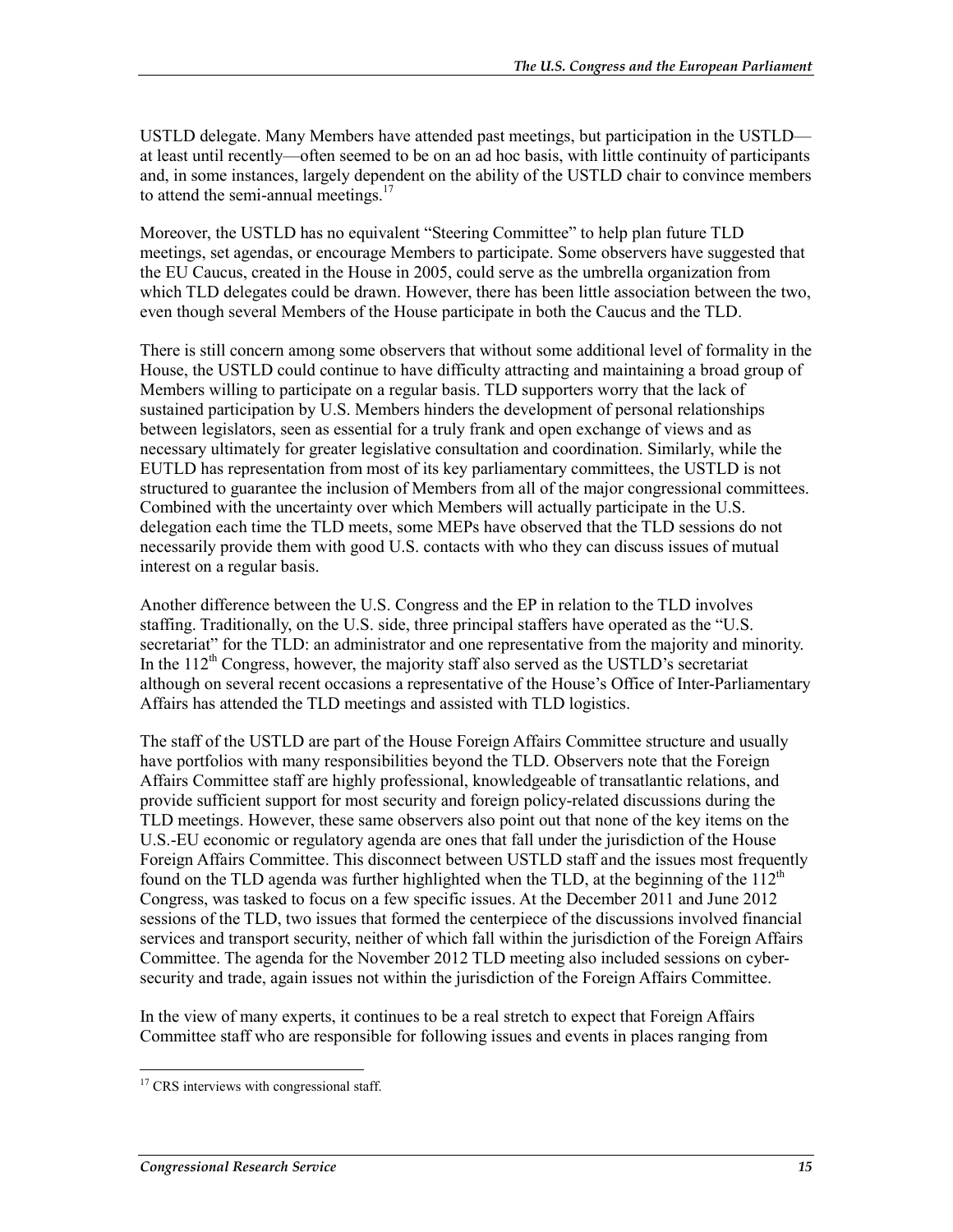USTLD delegate. Many Members have attended past meetings, but participation in the USTLD at least until recently—often seemed to be on an ad hoc basis, with little continuity of participants and, in some instances, largely dependent on the ability of the USTLD chair to convince members to attend the semi-annual meetings. $17$ 

Moreover, the USTLD has no equivalent "Steering Committee" to help plan future TLD meetings, set agendas, or encourage Members to participate. Some observers have suggested that the EU Caucus, created in the House in 2005, could serve as the umbrella organization from which TLD delegates could be drawn. However, there has been little association between the two, even though several Members of the House participate in both the Caucus and the TLD.

There is still concern among some observers that without some additional level of formality in the House, the USTLD could continue to have difficulty attracting and maintaining a broad group of Members willing to participate on a regular basis. TLD supporters worry that the lack of sustained participation by U.S. Members hinders the development of personal relationships between legislators, seen as essential for a truly frank and open exchange of views and as necessary ultimately for greater legislative consultation and coordination. Similarly, while the EUTLD has representation from most of its key parliamentary committees, the USTLD is not structured to guarantee the inclusion of Members from all of the major congressional committees. Combined with the uncertainty over which Members will actually participate in the U.S. delegation each time the TLD meets, some MEPs have observed that the TLD sessions do not necessarily provide them with good U.S. contacts with who they can discuss issues of mutual interest on a regular basis.

Another difference between the U.S. Congress and the EP in relation to the TLD involves staffing. Traditionally, on the U.S. side, three principal staffers have operated as the "U.S. secretariat" for the TLD: an administrator and one representative from the majority and minority. In the  $112<sup>th</sup>$  Congress, however, the majority staff also served as the USTLD's secretariat although on several recent occasions a representative of the House's Office of Inter-Parliamentary Affairs has attended the TLD meetings and assisted with TLD logistics.

The staff of the USTLD are part of the House Foreign Affairs Committee structure and usually have portfolios with many responsibilities beyond the TLD. Observers note that the Foreign Affairs Committee staff are highly professional, knowledgeable of transatlantic relations, and provide sufficient support for most security and foreign policy-related discussions during the TLD meetings. However, these same observers also point out that none of the key items on the U.S.-EU economic or regulatory agenda are ones that fall under the jurisdiction of the House Foreign Affairs Committee. This disconnect between USTLD staff and the issues most frequently found on the TLD agenda was further highlighted when the TLD, at the beginning of the  $112<sup>th</sup>$ Congress, was tasked to focus on a few specific issues. At the December 2011 and June 2012 sessions of the TLD, two issues that formed the centerpiece of the discussions involved financial services and transport security, neither of which fall within the jurisdiction of the Foreign Affairs Committee. The agenda for the November 2012 TLD meeting also included sessions on cybersecurity and trade, again issues not within the jurisdiction of the Foreign Affairs Committee.

In the view of many experts, it continues to be a real stretch to expect that Foreign Affairs Committee staff who are responsible for following issues and events in places ranging from

<sup>&</sup>lt;u>.</u> <sup>17</sup> CRS interviews with congressional staff.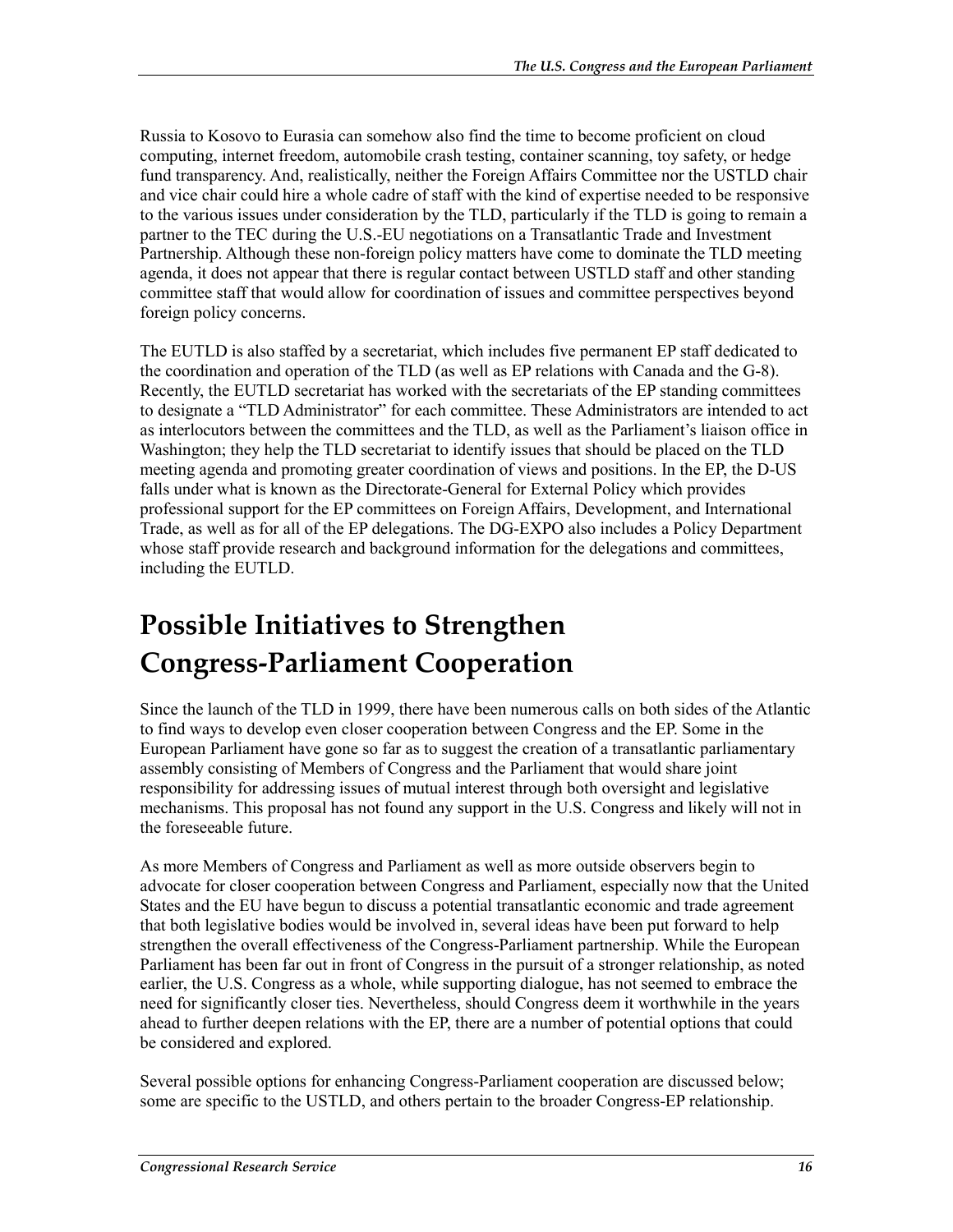Russia to Kosovo to Eurasia can somehow also find the time to become proficient on cloud computing, internet freedom, automobile crash testing, container scanning, toy safety, or hedge fund transparency. And, realistically, neither the Foreign Affairs Committee nor the USTLD chair and vice chair could hire a whole cadre of staff with the kind of expertise needed to be responsive to the various issues under consideration by the TLD, particularly if the TLD is going to remain a partner to the TEC during the U.S.-EU negotiations on a Transatlantic Trade and Investment Partnership. Although these non-foreign policy matters have come to dominate the TLD meeting agenda, it does not appear that there is regular contact between USTLD staff and other standing committee staff that would allow for coordination of issues and committee perspectives beyond foreign policy concerns.

The EUTLD is also staffed by a secretariat, which includes five permanent EP staff dedicated to the coordination and operation of the TLD (as well as EP relations with Canada and the G-8). Recently, the EUTLD secretariat has worked with the secretariats of the EP standing committees to designate a "TLD Administrator" for each committee. These Administrators are intended to act as interlocutors between the committees and the TLD, as well as the Parliament's liaison office in Washington; they help the TLD secretariat to identify issues that should be placed on the TLD meeting agenda and promoting greater coordination of views and positions. In the EP, the D-US falls under what is known as the Directorate-General for External Policy which provides professional support for the EP committees on Foreign Affairs, Development, and International Trade, as well as for all of the EP delegations. The DG-EXPO also includes a Policy Department whose staff provide research and background information for the delegations and committees, including the EUTLD.

## **Possible Initiatives to Strengthen Congress-Parliament Cooperation**

Since the launch of the TLD in 1999, there have been numerous calls on both sides of the Atlantic to find ways to develop even closer cooperation between Congress and the EP. Some in the European Parliament have gone so far as to suggest the creation of a transatlantic parliamentary assembly consisting of Members of Congress and the Parliament that would share joint responsibility for addressing issues of mutual interest through both oversight and legislative mechanisms. This proposal has not found any support in the U.S. Congress and likely will not in the foreseeable future.

As more Members of Congress and Parliament as well as more outside observers begin to advocate for closer cooperation between Congress and Parliament, especially now that the United States and the EU have begun to discuss a potential transatlantic economic and trade agreement that both legislative bodies would be involved in, several ideas have been put forward to help strengthen the overall effectiveness of the Congress-Parliament partnership. While the European Parliament has been far out in front of Congress in the pursuit of a stronger relationship, as noted earlier, the U.S. Congress as a whole, while supporting dialogue, has not seemed to embrace the need for significantly closer ties. Nevertheless, should Congress deem it worthwhile in the years ahead to further deepen relations with the EP, there are a number of potential options that could be considered and explored.

Several possible options for enhancing Congress-Parliament cooperation are discussed below; some are specific to the USTLD, and others pertain to the broader Congress-EP relationship.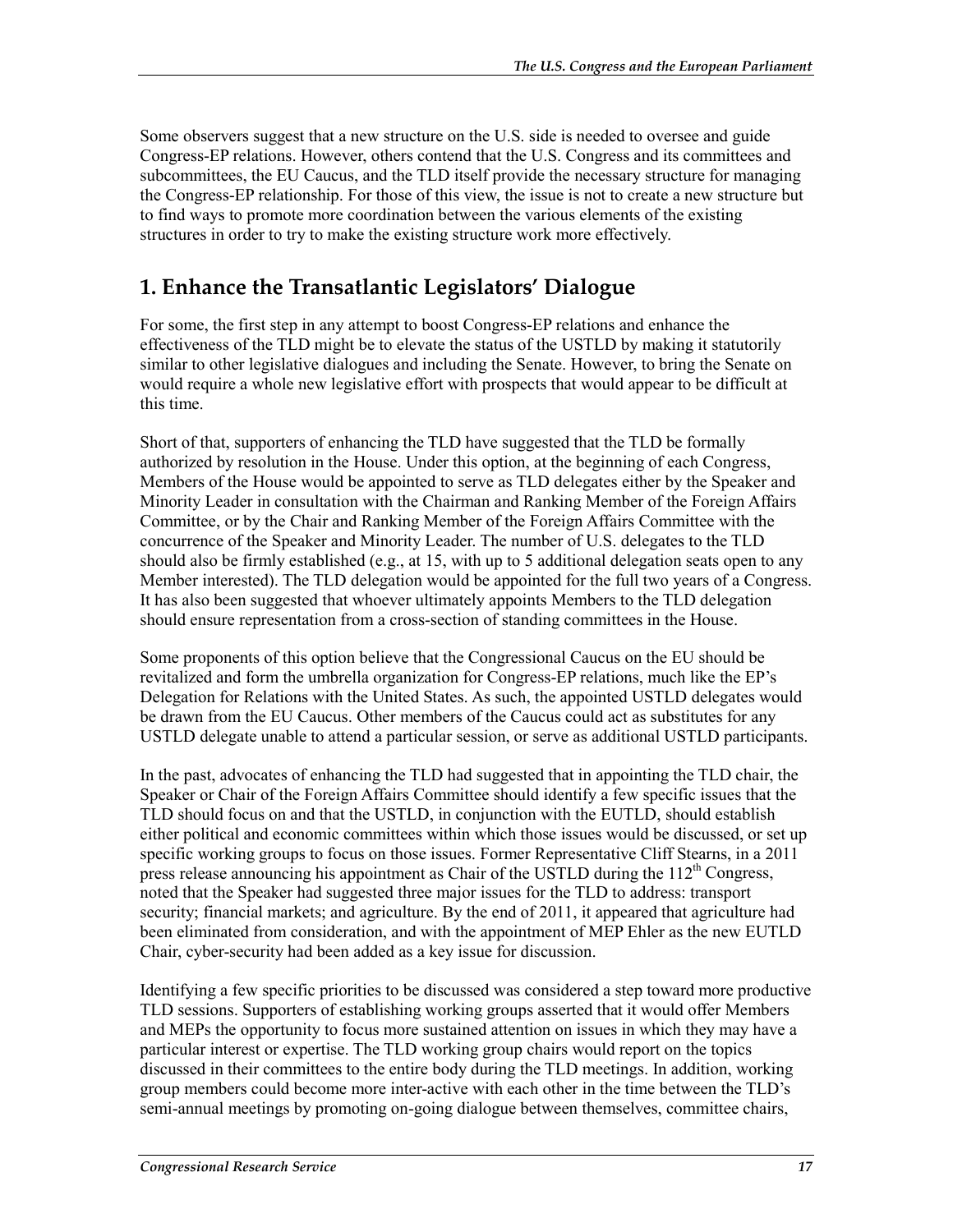Some observers suggest that a new structure on the U.S. side is needed to oversee and guide Congress-EP relations. However, others contend that the U.S. Congress and its committees and subcommittees, the EU Caucus, and the TLD itself provide the necessary structure for managing the Congress-EP relationship. For those of this view, the issue is not to create a new structure but to find ways to promote more coordination between the various elements of the existing structures in order to try to make the existing structure work more effectively.

#### **1. Enhance the Transatlantic Legislators' Dialogue**

For some, the first step in any attempt to boost Congress-EP relations and enhance the effectiveness of the TLD might be to elevate the status of the USTLD by making it statutorily similar to other legislative dialogues and including the Senate. However, to bring the Senate on would require a whole new legislative effort with prospects that would appear to be difficult at this time.

Short of that, supporters of enhancing the TLD have suggested that the TLD be formally authorized by resolution in the House. Under this option, at the beginning of each Congress, Members of the House would be appointed to serve as TLD delegates either by the Speaker and Minority Leader in consultation with the Chairman and Ranking Member of the Foreign Affairs Committee, or by the Chair and Ranking Member of the Foreign Affairs Committee with the concurrence of the Speaker and Minority Leader. The number of U.S. delegates to the TLD should also be firmly established (e.g., at 15, with up to 5 additional delegation seats open to any Member interested). The TLD delegation would be appointed for the full two years of a Congress. It has also been suggested that whoever ultimately appoints Members to the TLD delegation should ensure representation from a cross-section of standing committees in the House.

Some proponents of this option believe that the Congressional Caucus on the EU should be revitalized and form the umbrella organization for Congress-EP relations, much like the EP's Delegation for Relations with the United States. As such, the appointed USTLD delegates would be drawn from the EU Caucus. Other members of the Caucus could act as substitutes for any USTLD delegate unable to attend a particular session, or serve as additional USTLD participants.

In the past, advocates of enhancing the TLD had suggested that in appointing the TLD chair, the Speaker or Chair of the Foreign Affairs Committee should identify a few specific issues that the TLD should focus on and that the USTLD, in conjunction with the EUTLD, should establish either political and economic committees within which those issues would be discussed, or set up specific working groups to focus on those issues. Former Representative Cliff Stearns, in a 2011 press release announcing his appointment as Chair of the USTLD during the  $112<sup>th</sup>$  Congress, noted that the Speaker had suggested three major issues for the TLD to address: transport security; financial markets; and agriculture. By the end of 2011, it appeared that agriculture had been eliminated from consideration, and with the appointment of MEP Ehler as the new EUTLD Chair, cyber-security had been added as a key issue for discussion.

Identifying a few specific priorities to be discussed was considered a step toward more productive TLD sessions. Supporters of establishing working groups asserted that it would offer Members and MEPs the opportunity to focus more sustained attention on issues in which they may have a particular interest or expertise. The TLD working group chairs would report on the topics discussed in their committees to the entire body during the TLD meetings. In addition, working group members could become more inter-active with each other in the time between the TLD's semi-annual meetings by promoting on-going dialogue between themselves, committee chairs,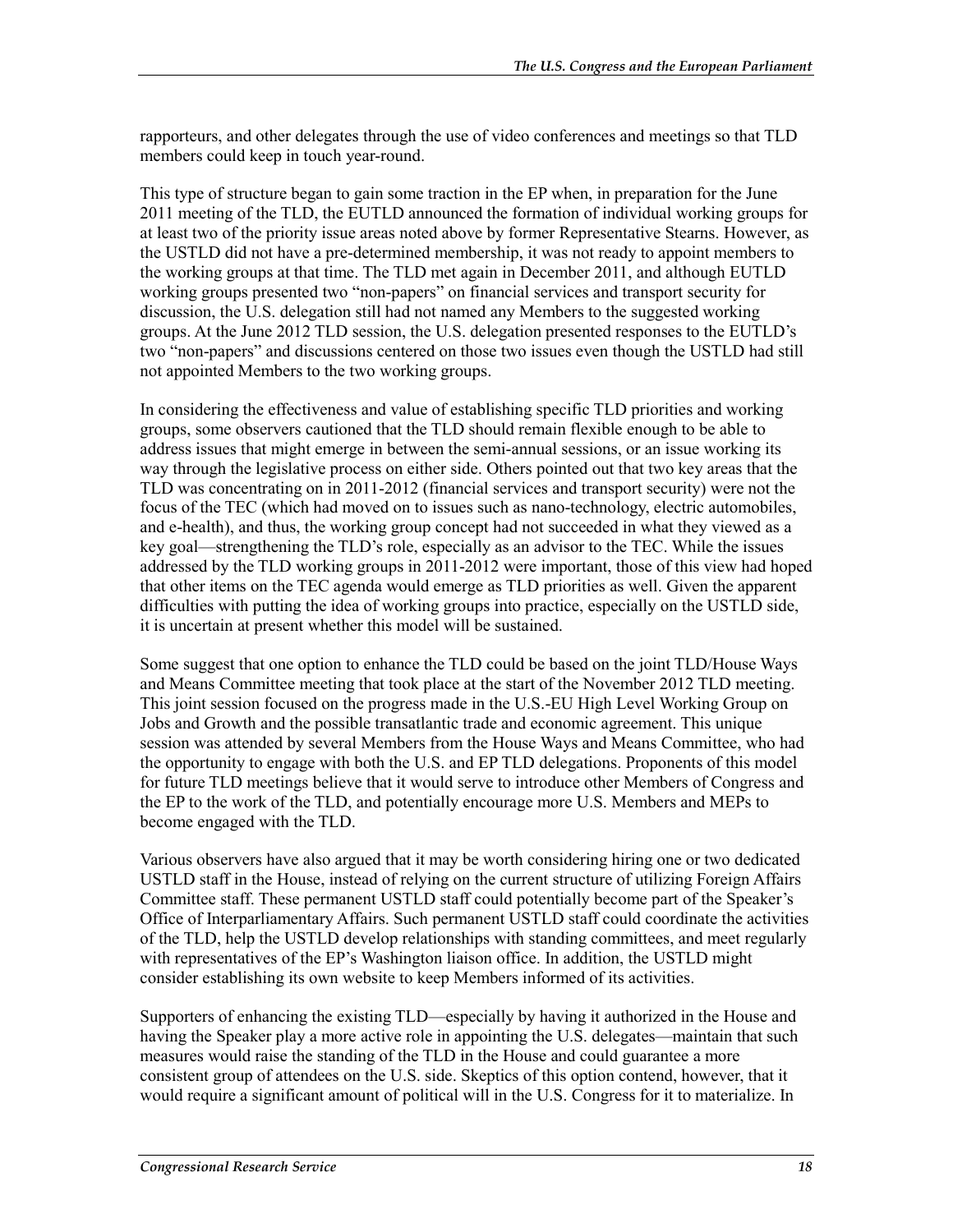rapporteurs, and other delegates through the use of video conferences and meetings so that TLD members could keep in touch year-round.

This type of structure began to gain some traction in the EP when, in preparation for the June 2011 meeting of the TLD, the EUTLD announced the formation of individual working groups for at least two of the priority issue areas noted above by former Representative Stearns. However, as the USTLD did not have a pre-determined membership, it was not ready to appoint members to the working groups at that time. The TLD met again in December 2011, and although EUTLD working groups presented two "non-papers" on financial services and transport security for discussion, the U.S. delegation still had not named any Members to the suggested working groups. At the June 2012 TLD session, the U.S. delegation presented responses to the EUTLD's two "non-papers" and discussions centered on those two issues even though the USTLD had still not appointed Members to the two working groups.

In considering the effectiveness and value of establishing specific TLD priorities and working groups, some observers cautioned that the TLD should remain flexible enough to be able to address issues that might emerge in between the semi-annual sessions, or an issue working its way through the legislative process on either side. Others pointed out that two key areas that the TLD was concentrating on in 2011-2012 (financial services and transport security) were not the focus of the TEC (which had moved on to issues such as nano-technology, electric automobiles, and e-health), and thus, the working group concept had not succeeded in what they viewed as a key goal—strengthening the TLD's role, especially as an advisor to the TEC. While the issues addressed by the TLD working groups in 2011-2012 were important, those of this view had hoped that other items on the TEC agenda would emerge as TLD priorities as well. Given the apparent difficulties with putting the idea of working groups into practice, especially on the USTLD side, it is uncertain at present whether this model will be sustained.

Some suggest that one option to enhance the TLD could be based on the joint TLD/House Ways and Means Committee meeting that took place at the start of the November 2012 TLD meeting. This joint session focused on the progress made in the U.S.-EU High Level Working Group on Jobs and Growth and the possible transatlantic trade and economic agreement. This unique session was attended by several Members from the House Ways and Means Committee, who had the opportunity to engage with both the U.S. and EP TLD delegations. Proponents of this model for future TLD meetings believe that it would serve to introduce other Members of Congress and the EP to the work of the TLD, and potentially encourage more U.S. Members and MEPs to become engaged with the TLD.

Various observers have also argued that it may be worth considering hiring one or two dedicated USTLD staff in the House, instead of relying on the current structure of utilizing Foreign Affairs Committee staff. These permanent USTLD staff could potentially become part of the Speaker's Office of Interparliamentary Affairs. Such permanent USTLD staff could coordinate the activities of the TLD, help the USTLD develop relationships with standing committees, and meet regularly with representatives of the EP's Washington liaison office. In addition, the USTLD might consider establishing its own website to keep Members informed of its activities.

Supporters of enhancing the existing TLD—especially by having it authorized in the House and having the Speaker play a more active role in appointing the U.S. delegates—maintain that such measures would raise the standing of the TLD in the House and could guarantee a more consistent group of attendees on the U.S. side. Skeptics of this option contend, however, that it would require a significant amount of political will in the U.S. Congress for it to materialize. In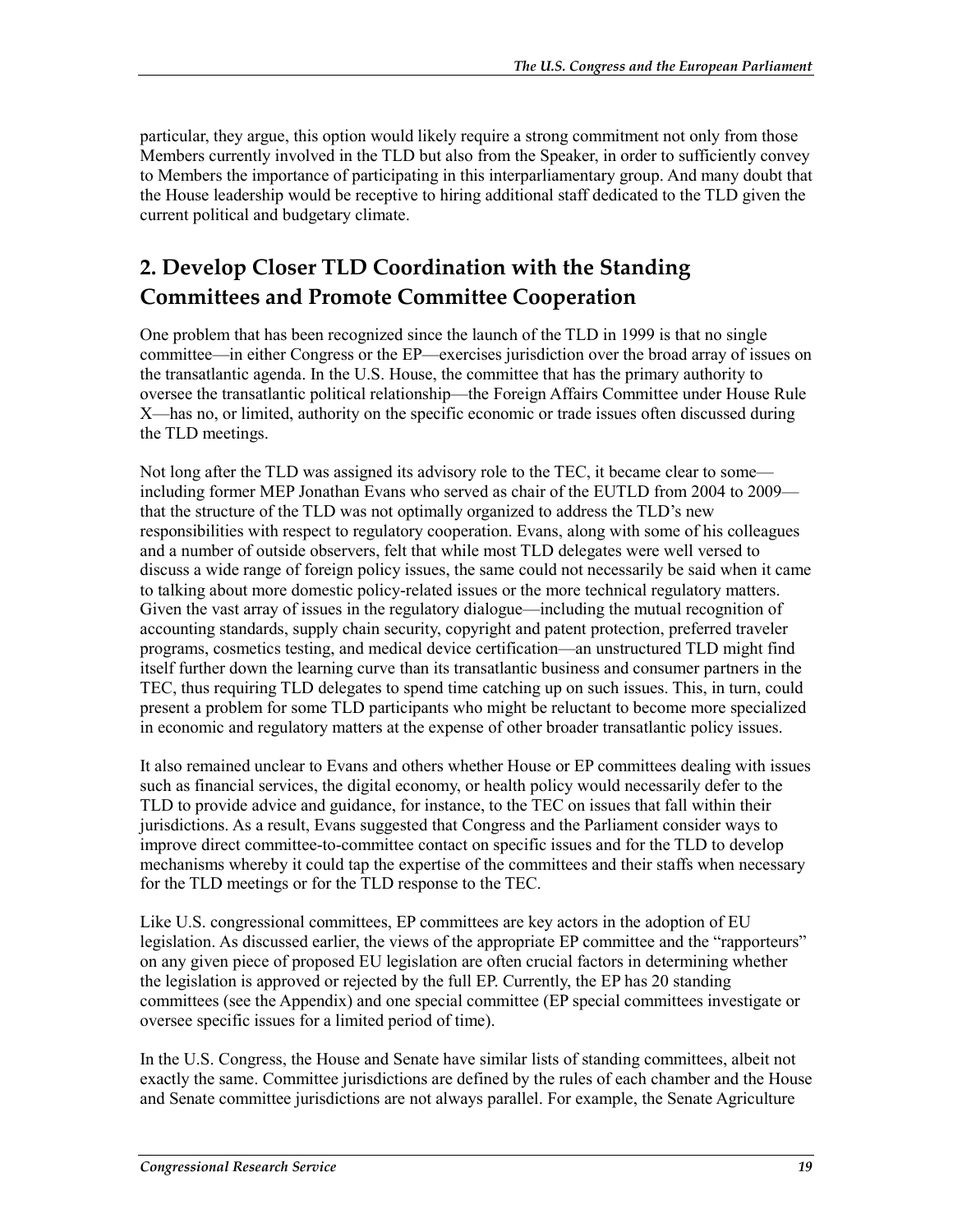particular, they argue, this option would likely require a strong commitment not only from those Members currently involved in the TLD but also from the Speaker, in order to sufficiently convey to Members the importance of participating in this interparliamentary group. And many doubt that the House leadership would be receptive to hiring additional staff dedicated to the TLD given the current political and budgetary climate.

#### **2. Develop Closer TLD Coordination with the Standing Committees and Promote Committee Cooperation**

One problem that has been recognized since the launch of the TLD in 1999 is that no single committee—in either Congress or the EP—exercises jurisdiction over the broad array of issues on the transatlantic agenda. In the U.S. House, the committee that has the primary authority to oversee the transatlantic political relationship—the Foreign Affairs Committee under House Rule X—has no, or limited, authority on the specific economic or trade issues often discussed during the TLD meetings.

Not long after the TLD was assigned its advisory role to the TEC, it became clear to some including former MEP Jonathan Evans who served as chair of the EUTLD from 2004 to 2009 that the structure of the TLD was not optimally organized to address the TLD's new responsibilities with respect to regulatory cooperation. Evans, along with some of his colleagues and a number of outside observers, felt that while most TLD delegates were well versed to discuss a wide range of foreign policy issues, the same could not necessarily be said when it came to talking about more domestic policy-related issues or the more technical regulatory matters. Given the vast array of issues in the regulatory dialogue—including the mutual recognition of accounting standards, supply chain security, copyright and patent protection, preferred traveler programs, cosmetics testing, and medical device certification—an unstructured TLD might find itself further down the learning curve than its transatlantic business and consumer partners in the TEC, thus requiring TLD delegates to spend time catching up on such issues. This, in turn, could present a problem for some TLD participants who might be reluctant to become more specialized in economic and regulatory matters at the expense of other broader transatlantic policy issues.

It also remained unclear to Evans and others whether House or EP committees dealing with issues such as financial services, the digital economy, or health policy would necessarily defer to the TLD to provide advice and guidance, for instance, to the TEC on issues that fall within their jurisdictions. As a result, Evans suggested that Congress and the Parliament consider ways to improve direct committee-to-committee contact on specific issues and for the TLD to develop mechanisms whereby it could tap the expertise of the committees and their staffs when necessary for the TLD meetings or for the TLD response to the TEC.

Like U.S. congressional committees, EP committees are key actors in the adoption of EU legislation. As discussed earlier, the views of the appropriate EP committee and the "rapporteurs" on any given piece of proposed EU legislation are often crucial factors in determining whether the legislation is approved or rejected by the full EP. Currently, the EP has 20 standing committees (see the Appendix) and one special committee (EP special committees investigate or oversee specific issues for a limited period of time).

In the U.S. Congress, the House and Senate have similar lists of standing committees, albeit not exactly the same. Committee jurisdictions are defined by the rules of each chamber and the House and Senate committee jurisdictions are not always parallel. For example, the Senate Agriculture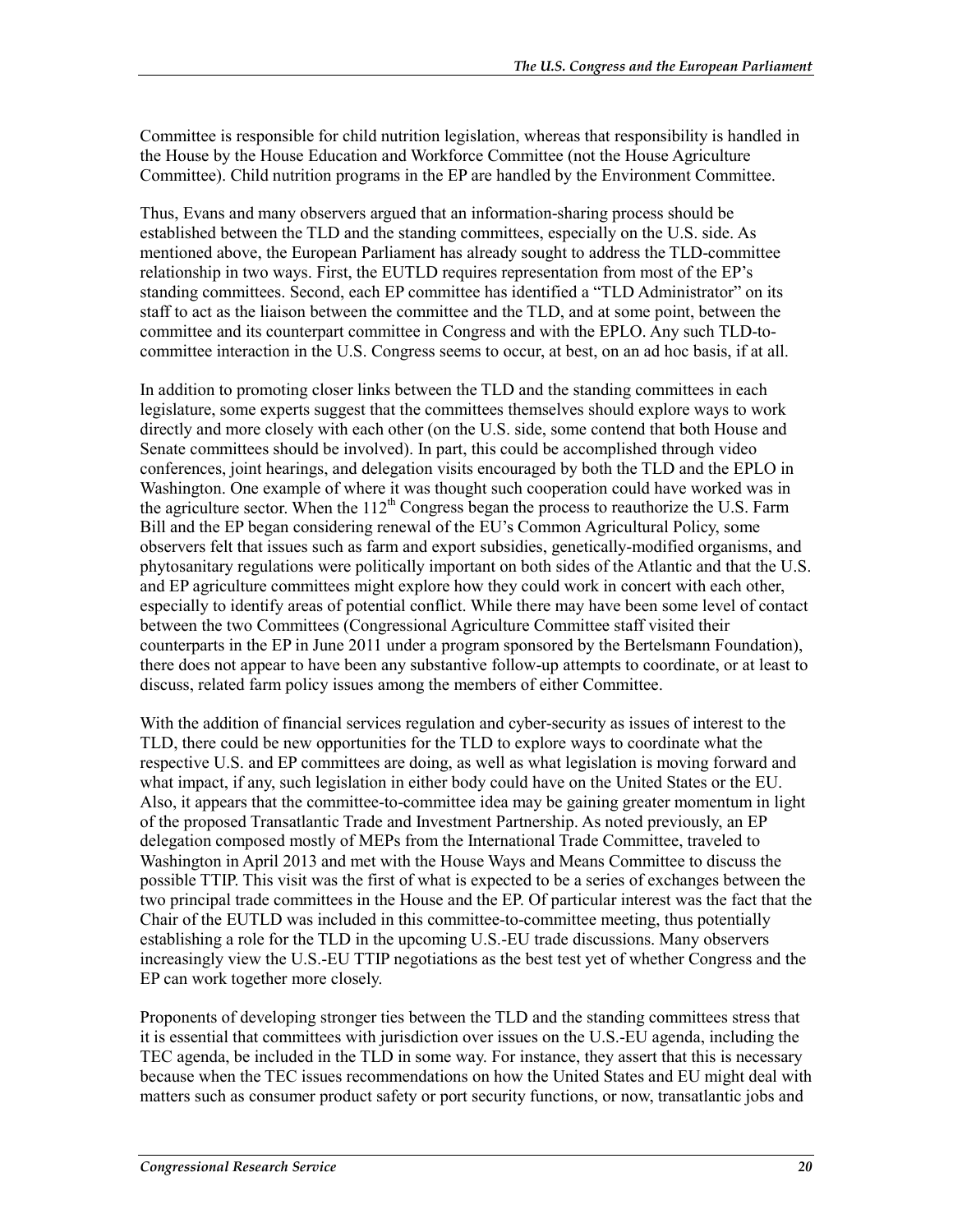Committee is responsible for child nutrition legislation, whereas that responsibility is handled in the House by the House Education and Workforce Committee (not the House Agriculture Committee). Child nutrition programs in the EP are handled by the Environment Committee.

Thus, Evans and many observers argued that an information-sharing process should be established between the TLD and the standing committees, especially on the U.S. side. As mentioned above, the European Parliament has already sought to address the TLD-committee relationship in two ways. First, the EUTLD requires representation from most of the EP's standing committees. Second, each EP committee has identified a "TLD Administrator" on its staff to act as the liaison between the committee and the TLD, and at some point, between the committee and its counterpart committee in Congress and with the EPLO. Any such TLD-tocommittee interaction in the U.S. Congress seems to occur, at best, on an ad hoc basis, if at all.

In addition to promoting closer links between the TLD and the standing committees in each legislature, some experts suggest that the committees themselves should explore ways to work directly and more closely with each other (on the U.S. side, some contend that both House and Senate committees should be involved). In part, this could be accomplished through video conferences, joint hearings, and delegation visits encouraged by both the TLD and the EPLO in Washington. One example of where it was thought such cooperation could have worked was in the agriculture sector. When the  $112<sup>th</sup>$  Congress began the process to reauthorize the U.S. Farm Bill and the EP began considering renewal of the EU's Common Agricultural Policy, some observers felt that issues such as farm and export subsidies, genetically-modified organisms, and phytosanitary regulations were politically important on both sides of the Atlantic and that the U.S. and EP agriculture committees might explore how they could work in concert with each other, especially to identify areas of potential conflict. While there may have been some level of contact between the two Committees (Congressional Agriculture Committee staff visited their counterparts in the EP in June 2011 under a program sponsored by the Bertelsmann Foundation), there does not appear to have been any substantive follow-up attempts to coordinate, or at least to discuss, related farm policy issues among the members of either Committee.

With the addition of financial services regulation and cyber-security as issues of interest to the TLD, there could be new opportunities for the TLD to explore ways to coordinate what the respective U.S. and EP committees are doing, as well as what legislation is moving forward and what impact, if any, such legislation in either body could have on the United States or the EU. Also, it appears that the committee-to-committee idea may be gaining greater momentum in light of the proposed Transatlantic Trade and Investment Partnership. As noted previously, an EP delegation composed mostly of MEPs from the International Trade Committee, traveled to Washington in April 2013 and met with the House Ways and Means Committee to discuss the possible TTIP. This visit was the first of what is expected to be a series of exchanges between the two principal trade committees in the House and the EP. Of particular interest was the fact that the Chair of the EUTLD was included in this committee-to-committee meeting, thus potentially establishing a role for the TLD in the upcoming U.S.-EU trade discussions. Many observers increasingly view the U.S.-EU TTIP negotiations as the best test yet of whether Congress and the EP can work together more closely.

Proponents of developing stronger ties between the TLD and the standing committees stress that it is essential that committees with jurisdiction over issues on the U.S.-EU agenda, including the TEC agenda, be included in the TLD in some way. For instance, they assert that this is necessary because when the TEC issues recommendations on how the United States and EU might deal with matters such as consumer product safety or port security functions, or now, transatlantic jobs and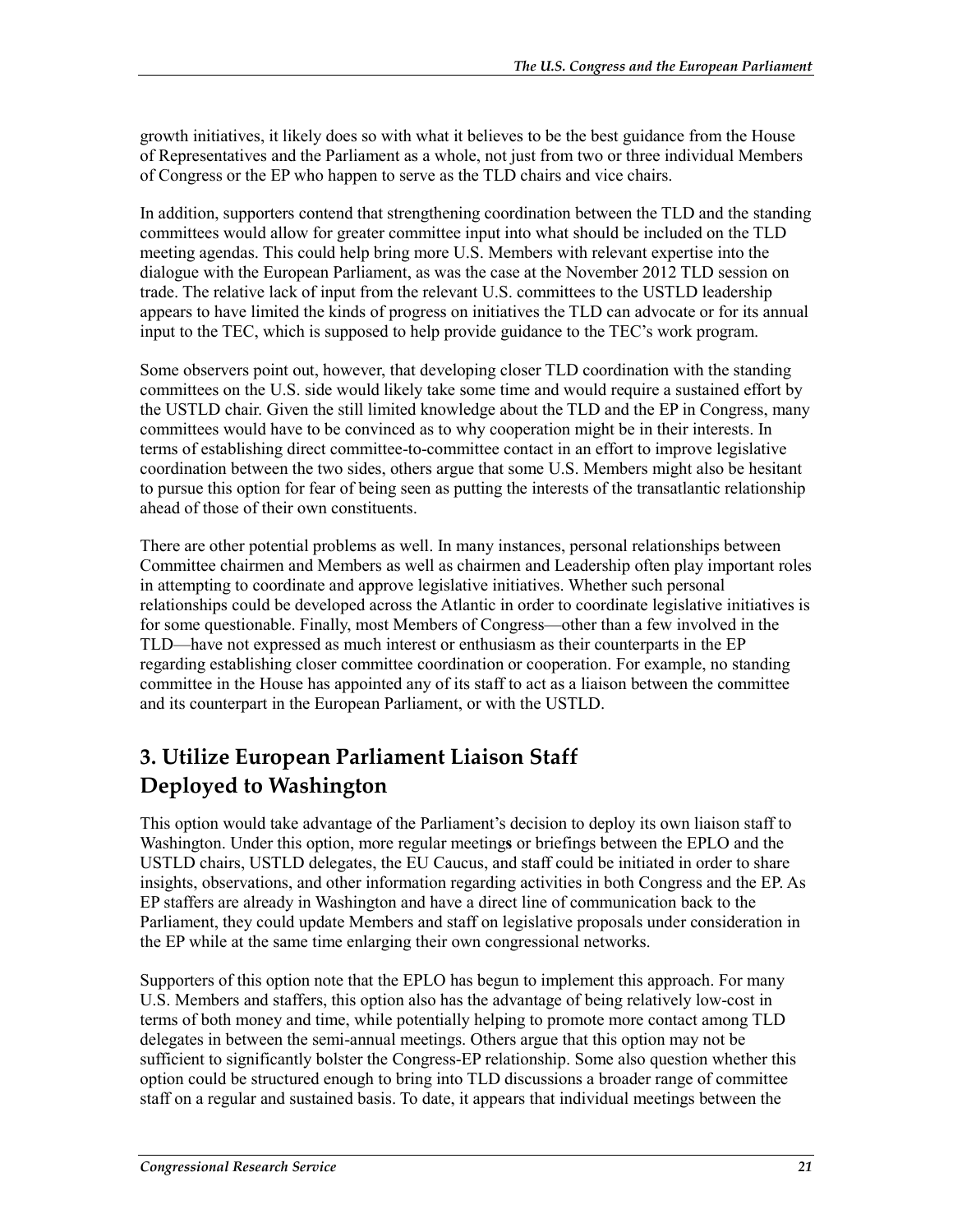growth initiatives, it likely does so with what it believes to be the best guidance from the House of Representatives and the Parliament as a whole, not just from two or three individual Members of Congress or the EP who happen to serve as the TLD chairs and vice chairs.

In addition, supporters contend that strengthening coordination between the TLD and the standing committees would allow for greater committee input into what should be included on the TLD meeting agendas. This could help bring more U.S. Members with relevant expertise into the dialogue with the European Parliament, as was the case at the November 2012 TLD session on trade. The relative lack of input from the relevant U.S. committees to the USTLD leadership appears to have limited the kinds of progress on initiatives the TLD can advocate or for its annual input to the TEC, which is supposed to help provide guidance to the TEC's work program.

Some observers point out, however, that developing closer TLD coordination with the standing committees on the U.S. side would likely take some time and would require a sustained effort by the USTLD chair. Given the still limited knowledge about the TLD and the EP in Congress, many committees would have to be convinced as to why cooperation might be in their interests. In terms of establishing direct committee-to-committee contact in an effort to improve legislative coordination between the two sides, others argue that some U.S. Members might also be hesitant to pursue this option for fear of being seen as putting the interests of the transatlantic relationship ahead of those of their own constituents.

There are other potential problems as well. In many instances, personal relationships between Committee chairmen and Members as well as chairmen and Leadership often play important roles in attempting to coordinate and approve legislative initiatives. Whether such personal relationships could be developed across the Atlantic in order to coordinate legislative initiatives is for some questionable. Finally, most Members of Congress—other than a few involved in the TLD—have not expressed as much interest or enthusiasm as their counterparts in the EP regarding establishing closer committee coordination or cooperation. For example, no standing committee in the House has appointed any of its staff to act as a liaison between the committee and its counterpart in the European Parliament, or with the USTLD.

#### **3. Utilize European Parliament Liaison Staff Deployed to Washington**

This option would take advantage of the Parliament's decision to deploy its own liaison staff to Washington. Under this option, more regular meeting**s** or briefings between the EPLO and the USTLD chairs, USTLD delegates, the EU Caucus, and staff could be initiated in order to share insights, observations, and other information regarding activities in both Congress and the EP. As EP staffers are already in Washington and have a direct line of communication back to the Parliament, they could update Members and staff on legislative proposals under consideration in the EP while at the same time enlarging their own congressional networks.

Supporters of this option note that the EPLO has begun to implement this approach. For many U.S. Members and staffers, this option also has the advantage of being relatively low-cost in terms of both money and time, while potentially helping to promote more contact among TLD delegates in between the semi-annual meetings. Others argue that this option may not be sufficient to significantly bolster the Congress-EP relationship. Some also question whether this option could be structured enough to bring into TLD discussions a broader range of committee staff on a regular and sustained basis. To date, it appears that individual meetings between the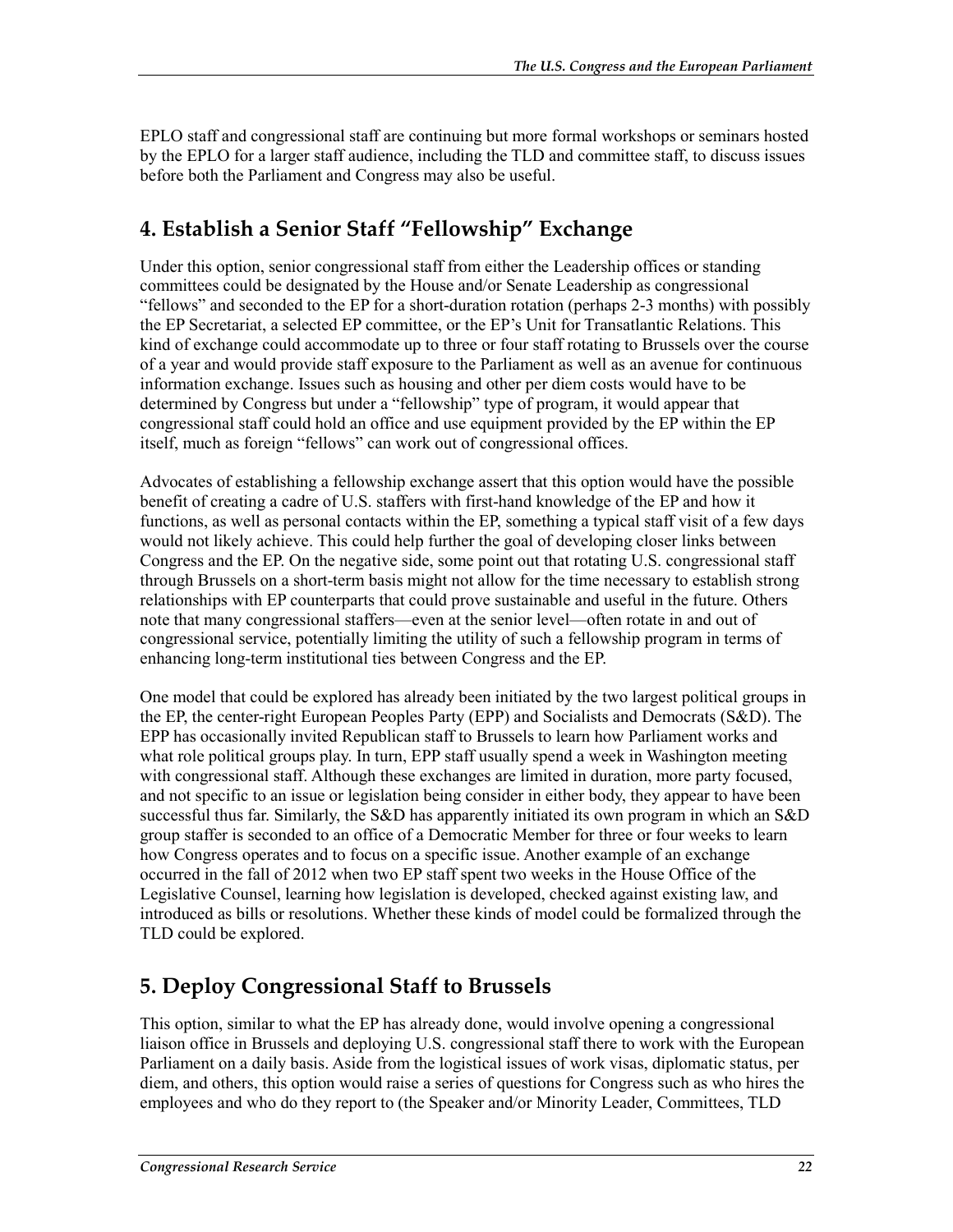EPLO staff and congressional staff are continuing but more formal workshops or seminars hosted by the EPLO for a larger staff audience, including the TLD and committee staff, to discuss issues before both the Parliament and Congress may also be useful.

#### **4. Establish a Senior Staff "Fellowship" Exchange**

Under this option, senior congressional staff from either the Leadership offices or standing committees could be designated by the House and/or Senate Leadership as congressional "fellows" and seconded to the EP for a short-duration rotation (perhaps 2-3 months) with possibly the EP Secretariat, a selected EP committee, or the EP's Unit for Transatlantic Relations. This kind of exchange could accommodate up to three or four staff rotating to Brussels over the course of a year and would provide staff exposure to the Parliament as well as an avenue for continuous information exchange. Issues such as housing and other per diem costs would have to be determined by Congress but under a "fellowship" type of program, it would appear that congressional staff could hold an office and use equipment provided by the EP within the EP itself, much as foreign "fellows" can work out of congressional offices.

Advocates of establishing a fellowship exchange assert that this option would have the possible benefit of creating a cadre of U.S. staffers with first-hand knowledge of the EP and how it functions, as well as personal contacts within the EP, something a typical staff visit of a few days would not likely achieve. This could help further the goal of developing closer links between Congress and the EP. On the negative side, some point out that rotating U.S. congressional staff through Brussels on a short-term basis might not allow for the time necessary to establish strong relationships with EP counterparts that could prove sustainable and useful in the future. Others note that many congressional staffers—even at the senior level—often rotate in and out of congressional service, potentially limiting the utility of such a fellowship program in terms of enhancing long-term institutional ties between Congress and the EP.

One model that could be explored has already been initiated by the two largest political groups in the EP, the center-right European Peoples Party (EPP) and Socialists and Democrats (S&D). The EPP has occasionally invited Republican staff to Brussels to learn how Parliament works and what role political groups play. In turn, EPP staff usually spend a week in Washington meeting with congressional staff. Although these exchanges are limited in duration, more party focused, and not specific to an issue or legislation being consider in either body, they appear to have been successful thus far. Similarly, the S&D has apparently initiated its own program in which an S&D group staffer is seconded to an office of a Democratic Member for three or four weeks to learn how Congress operates and to focus on a specific issue. Another example of an exchange occurred in the fall of 2012 when two EP staff spent two weeks in the House Office of the Legislative Counsel, learning how legislation is developed, checked against existing law, and introduced as bills or resolutions. Whether these kinds of model could be formalized through the TLD could be explored.

#### **5. Deploy Congressional Staff to Brussels**

This option, similar to what the EP has already done, would involve opening a congressional liaison office in Brussels and deploying U.S. congressional staff there to work with the European Parliament on a daily basis. Aside from the logistical issues of work visas, diplomatic status, per diem, and others, this option would raise a series of questions for Congress such as who hires the employees and who do they report to (the Speaker and/or Minority Leader, Committees, TLD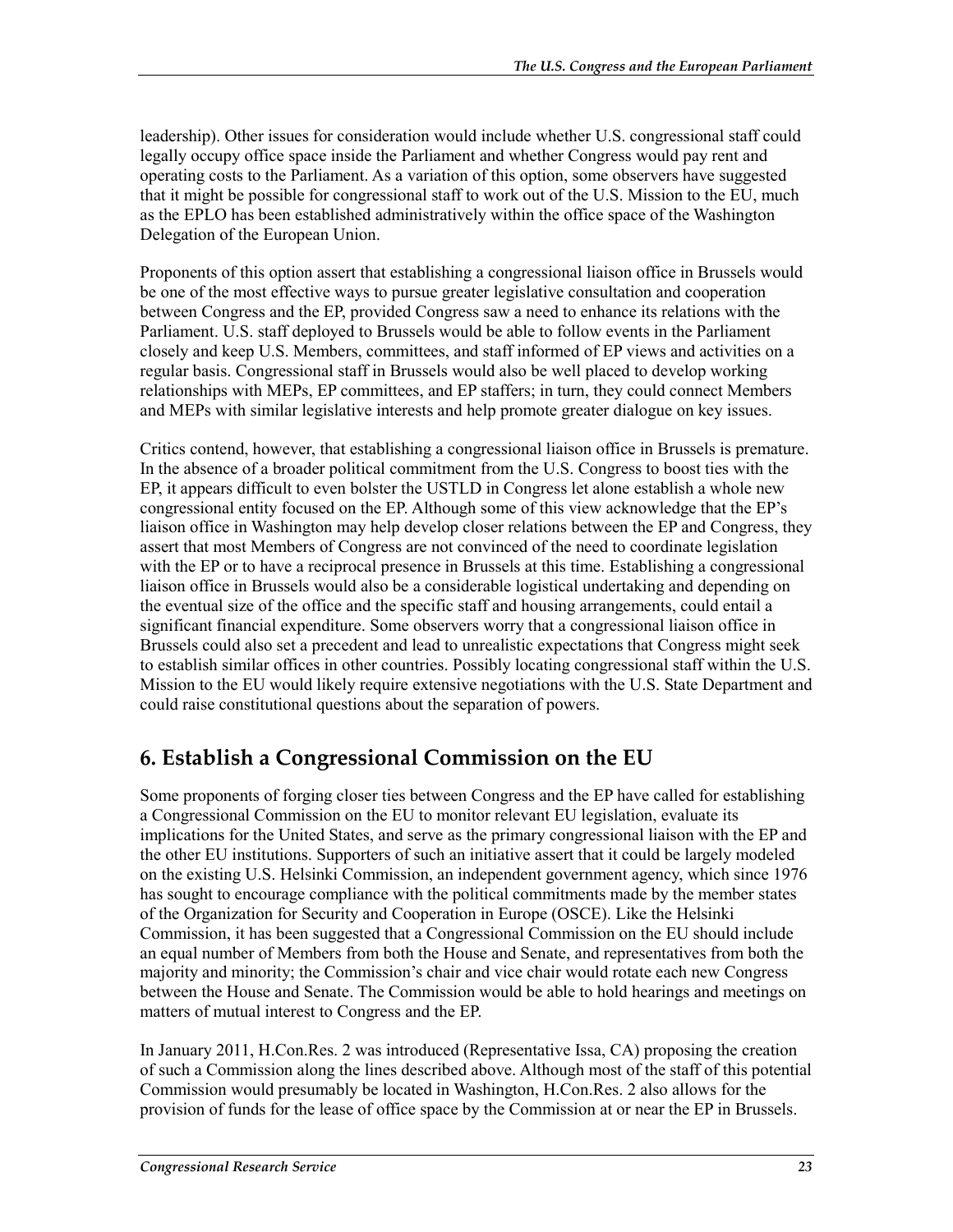leadership). Other issues for consideration would include whether U.S. congressional staff could legally occupy office space inside the Parliament and whether Congress would pay rent and operating costs to the Parliament. As a variation of this option, some observers have suggested that it might be possible for congressional staff to work out of the U.S. Mission to the EU, much as the EPLO has been established administratively within the office space of the Washington Delegation of the European Union.

Proponents of this option assert that establishing a congressional liaison office in Brussels would be one of the most effective ways to pursue greater legislative consultation and cooperation between Congress and the EP, provided Congress saw a need to enhance its relations with the Parliament. U.S. staff deployed to Brussels would be able to follow events in the Parliament closely and keep U.S. Members, committees, and staff informed of EP views and activities on a regular basis. Congressional staff in Brussels would also be well placed to develop working relationships with MEPs, EP committees, and EP staffers; in turn, they could connect Members and MEPs with similar legislative interests and help promote greater dialogue on key issues.

Critics contend, however, that establishing a congressional liaison office in Brussels is premature. In the absence of a broader political commitment from the U.S. Congress to boost ties with the EP, it appears difficult to even bolster the USTLD in Congress let alone establish a whole new congressional entity focused on the EP. Although some of this view acknowledge that the EP's liaison office in Washington may help develop closer relations between the EP and Congress, they assert that most Members of Congress are not convinced of the need to coordinate legislation with the EP or to have a reciprocal presence in Brussels at this time. Establishing a congressional liaison office in Brussels would also be a considerable logistical undertaking and depending on the eventual size of the office and the specific staff and housing arrangements, could entail a significant financial expenditure. Some observers worry that a congressional liaison office in Brussels could also set a precedent and lead to unrealistic expectations that Congress might seek to establish similar offices in other countries. Possibly locating congressional staff within the U.S. Mission to the EU would likely require extensive negotiations with the U.S. State Department and could raise constitutional questions about the separation of powers.

#### **6. Establish a Congressional Commission on the EU**

Some proponents of forging closer ties between Congress and the EP have called for establishing a Congressional Commission on the EU to monitor relevant EU legislation, evaluate its implications for the United States, and serve as the primary congressional liaison with the EP and the other EU institutions. Supporters of such an initiative assert that it could be largely modeled on the existing U.S. Helsinki Commission, an independent government agency, which since 1976 has sought to encourage compliance with the political commitments made by the member states of the Organization for Security and Cooperation in Europe (OSCE). Like the Helsinki Commission, it has been suggested that a Congressional Commission on the EU should include an equal number of Members from both the House and Senate, and representatives from both the majority and minority; the Commission's chair and vice chair would rotate each new Congress between the House and Senate. The Commission would be able to hold hearings and meetings on matters of mutual interest to Congress and the EP.

In January 2011, H.Con.Res. 2 was introduced (Representative Issa, CA) proposing the creation of such a Commission along the lines described above. Although most of the staff of this potential Commission would presumably be located in Washington, H.Con.Res. 2 also allows for the provision of funds for the lease of office space by the Commission at or near the EP in Brussels.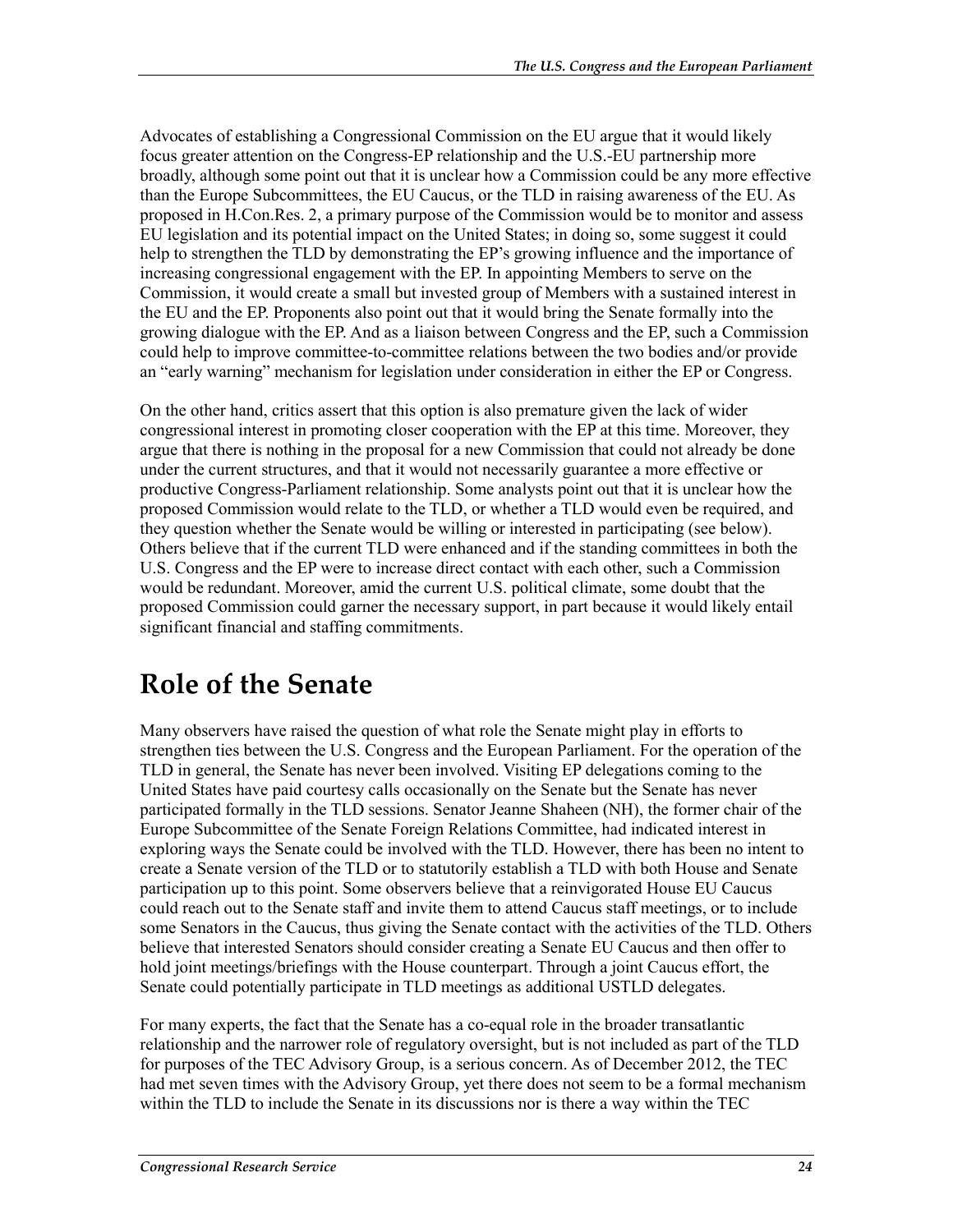Advocates of establishing a Congressional Commission on the EU argue that it would likely focus greater attention on the Congress-EP relationship and the U.S.-EU partnership more broadly, although some point out that it is unclear how a Commission could be any more effective than the Europe Subcommittees, the EU Caucus, or the TLD in raising awareness of the EU. As proposed in H.Con.Res. 2, a primary purpose of the Commission would be to monitor and assess EU legislation and its potential impact on the United States; in doing so, some suggest it could help to strengthen the TLD by demonstrating the EP's growing influence and the importance of increasing congressional engagement with the EP. In appointing Members to serve on the Commission, it would create a small but invested group of Members with a sustained interest in the EU and the EP. Proponents also point out that it would bring the Senate formally into the growing dialogue with the EP. And as a liaison between Congress and the EP, such a Commission could help to improve committee-to-committee relations between the two bodies and/or provide an "early warning" mechanism for legislation under consideration in either the EP or Congress.

On the other hand, critics assert that this option is also premature given the lack of wider congressional interest in promoting closer cooperation with the EP at this time. Moreover, they argue that there is nothing in the proposal for a new Commission that could not already be done under the current structures, and that it would not necessarily guarantee a more effective or productive Congress-Parliament relationship. Some analysts point out that it is unclear how the proposed Commission would relate to the TLD, or whether a TLD would even be required, and they question whether the Senate would be willing or interested in participating (see below). Others believe that if the current TLD were enhanced and if the standing committees in both the U.S. Congress and the EP were to increase direct contact with each other, such a Commission would be redundant. Moreover, amid the current U.S. political climate, some doubt that the proposed Commission could garner the necessary support, in part because it would likely entail significant financial and staffing commitments.

### **Role of the Senate**

Many observers have raised the question of what role the Senate might play in efforts to strengthen ties between the U.S. Congress and the European Parliament. For the operation of the TLD in general, the Senate has never been involved. Visiting EP delegations coming to the United States have paid courtesy calls occasionally on the Senate but the Senate has never participated formally in the TLD sessions. Senator Jeanne Shaheen (NH), the former chair of the Europe Subcommittee of the Senate Foreign Relations Committee, had indicated interest in exploring ways the Senate could be involved with the TLD. However, there has been no intent to create a Senate version of the TLD or to statutorily establish a TLD with both House and Senate participation up to this point. Some observers believe that a reinvigorated House EU Caucus could reach out to the Senate staff and invite them to attend Caucus staff meetings, or to include some Senators in the Caucus, thus giving the Senate contact with the activities of the TLD. Others believe that interested Senators should consider creating a Senate EU Caucus and then offer to hold joint meetings/briefings with the House counterpart. Through a joint Caucus effort, the Senate could potentially participate in TLD meetings as additional USTLD delegates.

For many experts, the fact that the Senate has a co-equal role in the broader transatlantic relationship and the narrower role of regulatory oversight, but is not included as part of the TLD for purposes of the TEC Advisory Group, is a serious concern. As of December 2012, the TEC had met seven times with the Advisory Group, yet there does not seem to be a formal mechanism within the TLD to include the Senate in its discussions nor is there a way within the TEC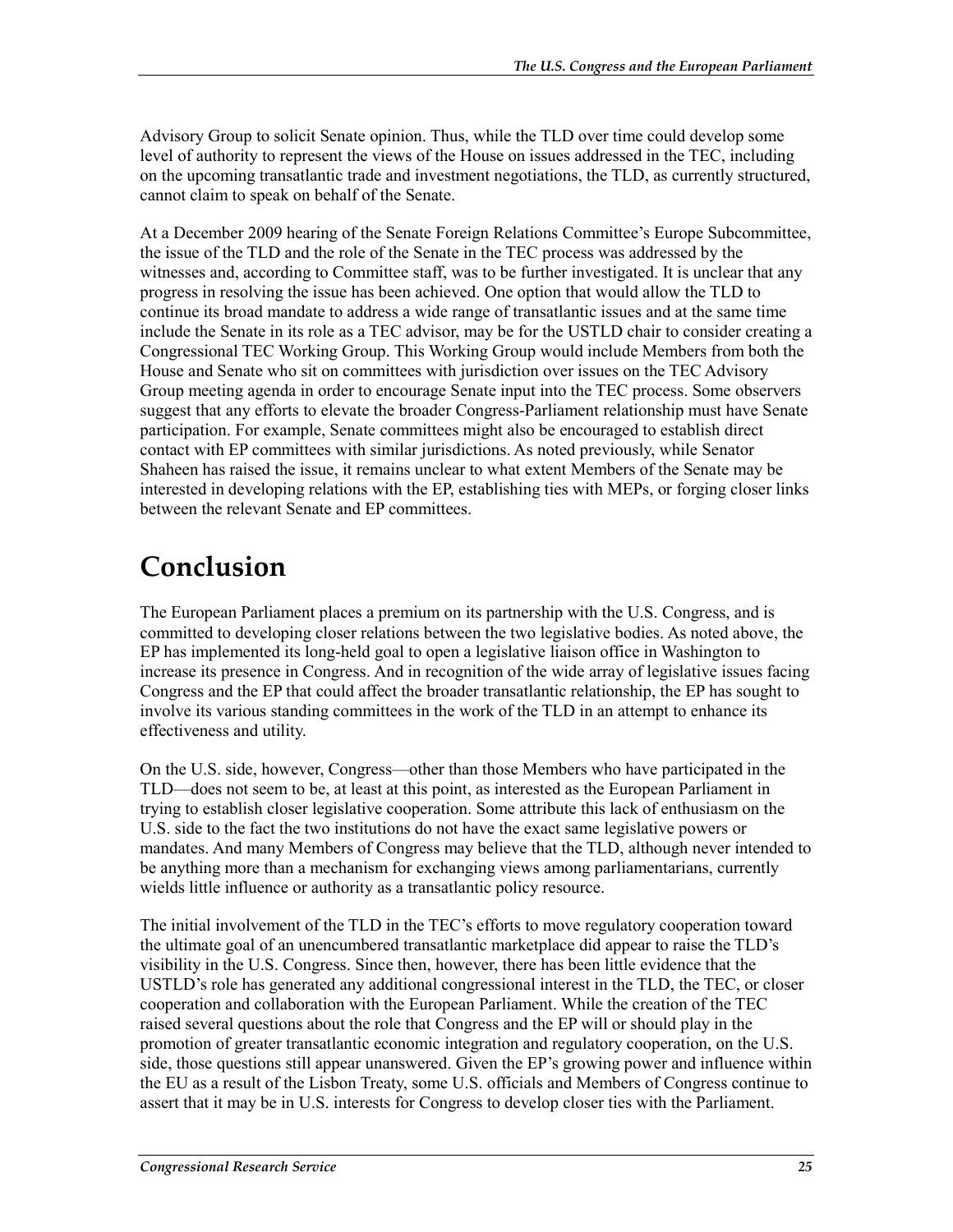Advisory Group to solicit Senate opinion. Thus, while the TLD over time could develop some level of authority to represent the views of the House on issues addressed in the TEC, including on the upcoming transatlantic trade and investment negotiations, the TLD, as currently structured, cannot claim to speak on behalf of the Senate.

At a December 2009 hearing of the Senate Foreign Relations Committee's Europe Subcommittee, the issue of the TLD and the role of the Senate in the TEC process was addressed by the witnesses and, according to Committee staff, was to be further investigated. It is unclear that any progress in resolving the issue has been achieved. One option that would allow the TLD to continue its broad mandate to address a wide range of transatlantic issues and at the same time include the Senate in its role as a TEC advisor, may be for the USTLD chair to consider creating a Congressional TEC Working Group. This Working Group would include Members from both the House and Senate who sit on committees with jurisdiction over issues on the TEC Advisory Group meeting agenda in order to encourage Senate input into the TEC process. Some observers suggest that any efforts to elevate the broader Congress-Parliament relationship must have Senate participation. For example, Senate committees might also be encouraged to establish direct contact with EP committees with similar jurisdictions. As noted previously, while Senator Shaheen has raised the issue, it remains unclear to what extent Members of the Senate may be interested in developing relations with the EP, establishing ties with MEPs, or forging closer links between the relevant Senate and EP committees.

### **Conclusion**

The European Parliament places a premium on its partnership with the U.S. Congress, and is committed to developing closer relations between the two legislative bodies. As noted above, the EP has implemented its long-held goal to open a legislative liaison office in Washington to increase its presence in Congress. And in recognition of the wide array of legislative issues facing Congress and the EP that could affect the broader transatlantic relationship, the EP has sought to involve its various standing committees in the work of the TLD in an attempt to enhance its effectiveness and utility.

On the U.S. side, however, Congress—other than those Members who have participated in the TLD—does not seem to be, at least at this point, as interested as the European Parliament in trying to establish closer legislative cooperation. Some attribute this lack of enthusiasm on the U.S. side to the fact the two institutions do not have the exact same legislative powers or mandates. And many Members of Congress may believe that the TLD, although never intended to be anything more than a mechanism for exchanging views among parliamentarians, currently wields little influence or authority as a transatlantic policy resource.

The initial involvement of the TLD in the TEC's efforts to move regulatory cooperation toward the ultimate goal of an unencumbered transatlantic marketplace did appear to raise the TLD's visibility in the U.S. Congress. Since then, however, there has been little evidence that the USTLD's role has generated any additional congressional interest in the TLD, the TEC, or closer cooperation and collaboration with the European Parliament. While the creation of the TEC raised several questions about the role that Congress and the EP will or should play in the promotion of greater transatlantic economic integration and regulatory cooperation, on the U.S. side, those questions still appear unanswered. Given the EP's growing power and influence within the EU as a result of the Lisbon Treaty, some U.S. officials and Members of Congress continue to assert that it may be in U.S. interests for Congress to develop closer ties with the Parliament.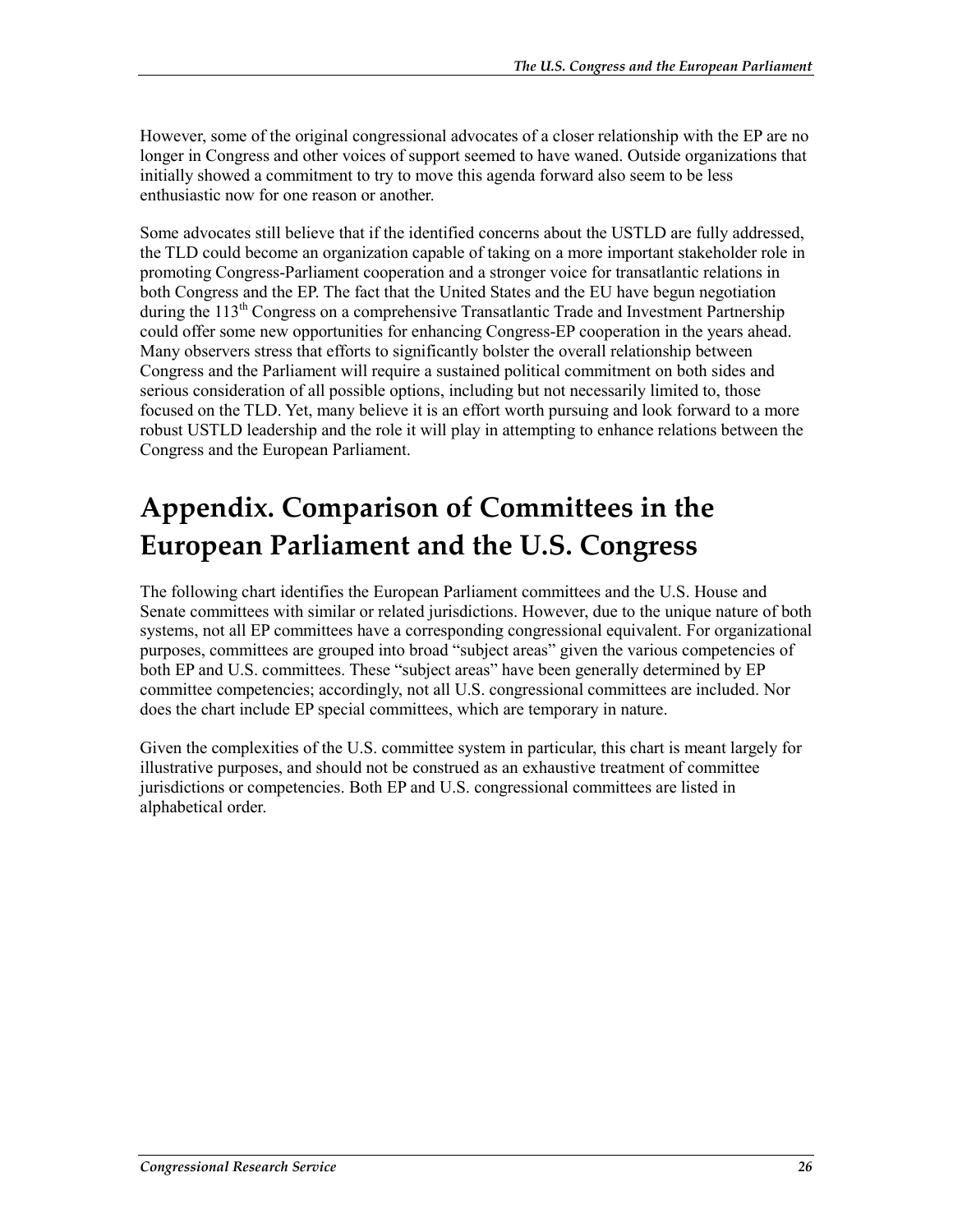However, some of the original congressional advocates of a closer relationship with the EP are no longer in Congress and other voices of support seemed to have waned. Outside organizations that initially showed a commitment to try to move this agenda forward also seem to be less enthusiastic now for one reason or another.

Some advocates still believe that if the identified concerns about the USTLD are fully addressed, the TLD could become an organization capable of taking on a more important stakeholder role in promoting Congress-Parliament cooperation and a stronger voice for transatlantic relations in both Congress and the EP. The fact that the United States and the EU have begun negotiation during the 113<sup>th</sup> Congress on a comprehensive Transatlantic Trade and Investment Partnership could offer some new opportunities for enhancing Congress-EP cooperation in the years ahead. Many observers stress that efforts to significantly bolster the overall relationship between Congress and the Parliament will require a sustained political commitment on both sides and serious consideration of all possible options, including but not necessarily limited to, those focused on the TLD. Yet, many believe it is an effort worth pursuing and look forward to a more robust USTLD leadership and the role it will play in attempting to enhance relations between the Congress and the European Parliament.

### **Appendix. Comparison of Committees in the European Parliament and the U.S. Congress**

The following chart identifies the European Parliament committees and the U.S. House and Senate committees with similar or related jurisdictions. However, due to the unique nature of both systems, not all EP committees have a corresponding congressional equivalent. For organizational purposes, committees are grouped into broad "subject areas" given the various competencies of both EP and U.S. committees. These "subject areas" have been generally determined by EP committee competencies; accordingly, not all U.S. congressional committees are included. Nor does the chart include EP special committees, which are temporary in nature.

Given the complexities of the U.S. committee system in particular, this chart is meant largely for illustrative purposes, and should not be construed as an exhaustive treatment of committee jurisdictions or competencies. Both EP and U.S. congressional committees are listed in alphabetical order.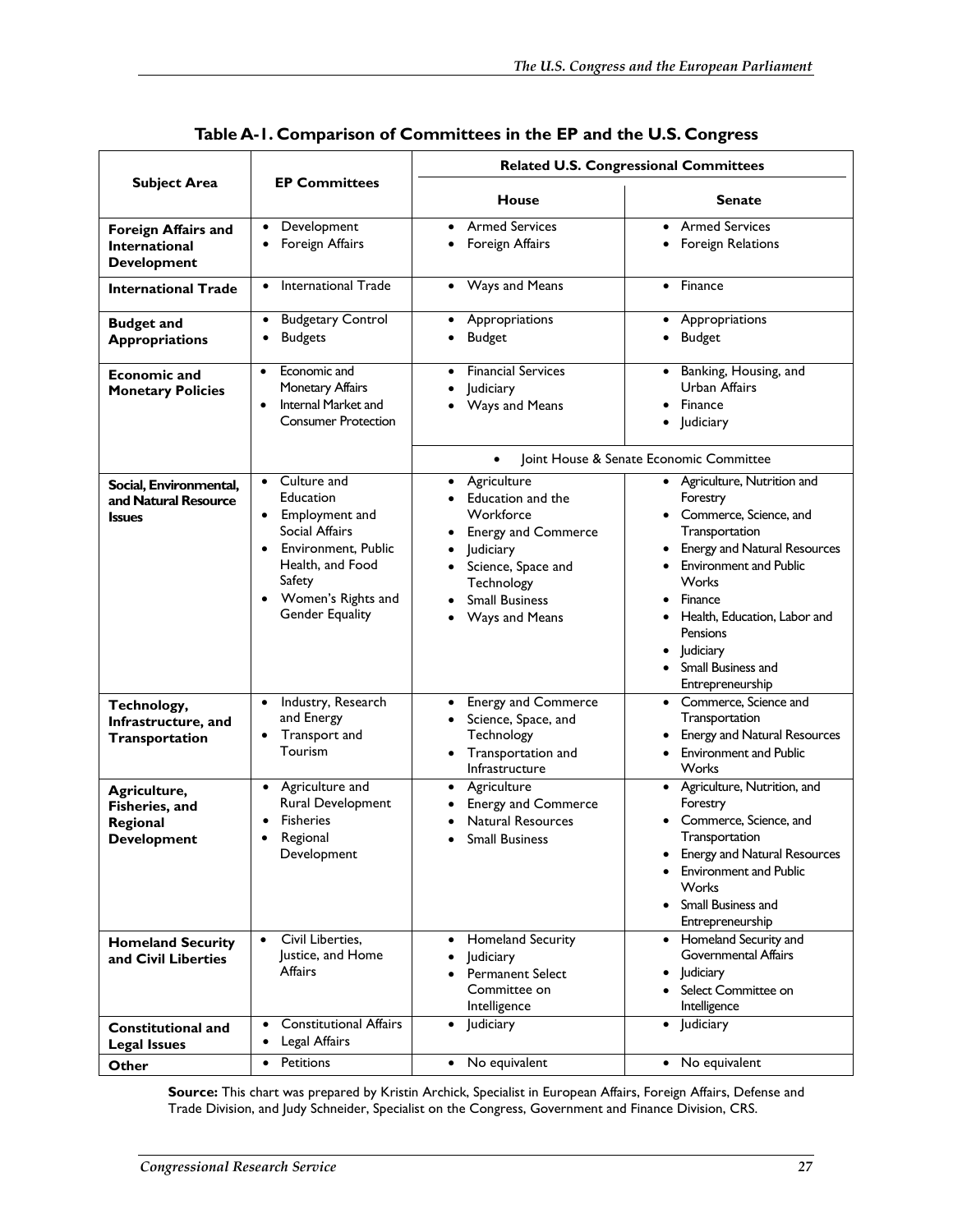|                                                                          |                                                                                                                                                                                                                   |                                                                                                                                                                                                                             | <b>Related U.S. Congressional Committees</b>                                                                                                                                                                                                                                                |  |
|--------------------------------------------------------------------------|-------------------------------------------------------------------------------------------------------------------------------------------------------------------------------------------------------------------|-----------------------------------------------------------------------------------------------------------------------------------------------------------------------------------------------------------------------------|---------------------------------------------------------------------------------------------------------------------------------------------------------------------------------------------------------------------------------------------------------------------------------------------|--|
| <b>Subject Area</b>                                                      | <b>EP Committees</b>                                                                                                                                                                                              | <b>House</b>                                                                                                                                                                                                                | <b>Senate</b>                                                                                                                                                                                                                                                                               |  |
| <b>Foreign Affairs and</b><br><b>International</b><br><b>Development</b> | Development<br>$\bullet$<br>Foreign Affairs<br>٠                                                                                                                                                                  | <b>Armed Services</b><br>$\bullet$<br>Foreign Affairs<br>٠                                                                                                                                                                  | • Armed Services<br>• Foreign Relations                                                                                                                                                                                                                                                     |  |
| <b>International Trade</b>                                               | <b>International Trade</b><br>$\bullet$                                                                                                                                                                           | Ways and Means<br>$\bullet$                                                                                                                                                                                                 | • Finance                                                                                                                                                                                                                                                                                   |  |
| <b>Budget and</b><br><b>Appropriations</b>                               | <b>Budgetary Control</b><br>٠<br><b>Budgets</b><br>٠                                                                                                                                                              | Appropriations<br>٠<br><b>Budget</b>                                                                                                                                                                                        | Appropriations<br>٠<br>Budget                                                                                                                                                                                                                                                               |  |
| <b>Economic and</b><br><b>Monetary Policies</b>                          | Economic and<br>$\bullet$<br><b>Monetary Affairs</b><br>Internal Market and<br>$\bullet$<br><b>Consumer Protection</b>                                                                                            | <b>Financial Services</b><br>$\bullet$<br>Judiciary<br>$\bullet$<br>Ways and Means                                                                                                                                          | • Banking, Housing, and<br>Urban Affairs<br>• Finance<br>• Judiciary                                                                                                                                                                                                                        |  |
|                                                                          |                                                                                                                                                                                                                   | Joint House & Senate Economic Committee<br>$\bullet$                                                                                                                                                                        |                                                                                                                                                                                                                                                                                             |  |
| Social, Environmental,<br>and Natural Resource<br><b>Issues</b>          | Culture and<br>$\bullet$<br>Education<br>Employment and<br>$\bullet$<br><b>Social Affairs</b><br>• Environment. Public<br>Health, and Food<br>Safety<br>Women's Rights and<br>$\bullet$<br><b>Gender Equality</b> | Agriculture<br>$\bullet$<br>Education and the<br>$\bullet$<br>Workforce<br><b>Energy and Commerce</b><br>Judiciary<br>$\bullet$<br>Science, Space and<br>$\bullet$<br>Technology<br><b>Small Business</b><br>Ways and Means | • Agriculture, Nutrition and<br>Forestry<br>• Commerce, Science, and<br>Transportation<br><b>Energy and Natural Resources</b><br><b>Environment and Public</b><br>Works<br>Finance<br>• Health, Education, Labor and<br>Pensions<br>• Judiciary<br>• Small Business and<br>Entrepreneurship |  |
| Technology,<br>Infrastructure, and<br>Transportation                     | Industry, Research<br>$\bullet$<br>and Energy<br>Transport and<br>$\bullet$<br>Tourism                                                                                                                            | <b>Energy and Commerce</b><br>$\bullet$<br>• Science, Space, and<br>Technology<br>• Transportation and<br>Infrastructure                                                                                                    | • Commerce, Science and<br>Transportation<br><b>Energy and Natural Resources</b><br><b>Environment and Public</b><br>Works                                                                                                                                                                  |  |
| Agriculture,<br>Fisheries, and<br>Regional<br><b>Development</b>         | Agriculture and<br>$\bullet$<br>Rural Development<br><b>Fisheries</b><br>Regional<br>$\bullet$<br>Development                                                                                                     | Agriculture<br>$\bullet$<br><b>Energy and Commerce</b><br>٠<br><b>Natural Resources</b><br><b>Small Business</b><br>$\bullet$                                                                                               | • Agriculture, Nutrition, and<br>Forestry<br>Commerce, Science, and<br>Transportation<br><b>Energy and Natural Resources</b><br><b>Environment and Public</b><br>Works<br>Small Business and<br>Entrepreneurship                                                                            |  |
| <b>Homeland Security</b><br>and Civil Liberties                          | Civil Liberties,<br>$\bullet$<br>Justice, and Home<br>Affairs                                                                                                                                                     | Homeland Security<br>$\bullet$<br>Judiciary<br>$\bullet$<br><b>Permanent Select</b><br>Committee on<br>Intelligence                                                                                                         | • Homeland Security and<br><b>Governmental Affairs</b><br>ludiciary<br>Select Committee on<br>Intelligence                                                                                                                                                                                  |  |
| <b>Constitutional and</b><br><b>Legal Issues</b>                         | <b>Constitutional Affairs</b><br>$\bullet$<br>Legal Affairs<br>$\bullet$                                                                                                                                          | Judiciary<br>$\bullet$                                                                                                                                                                                                      | • Judiciary                                                                                                                                                                                                                                                                                 |  |
| Other                                                                    | • Petitions                                                                                                                                                                                                       | • No equivalent                                                                                                                                                                                                             | • No equivalent                                                                                                                                                                                                                                                                             |  |

|  | Table A-1. Comparison of Committees in the EP and the U.S. Congress |  |
|--|---------------------------------------------------------------------|--|
|--|---------------------------------------------------------------------|--|

**Source:** This chart was prepared by Kristin Archick, Specialist in European Affairs, Foreign Affairs, Defense and Trade Division, and Judy Schneider, Specialist on the Congress, Government and Finance Division, CRS.